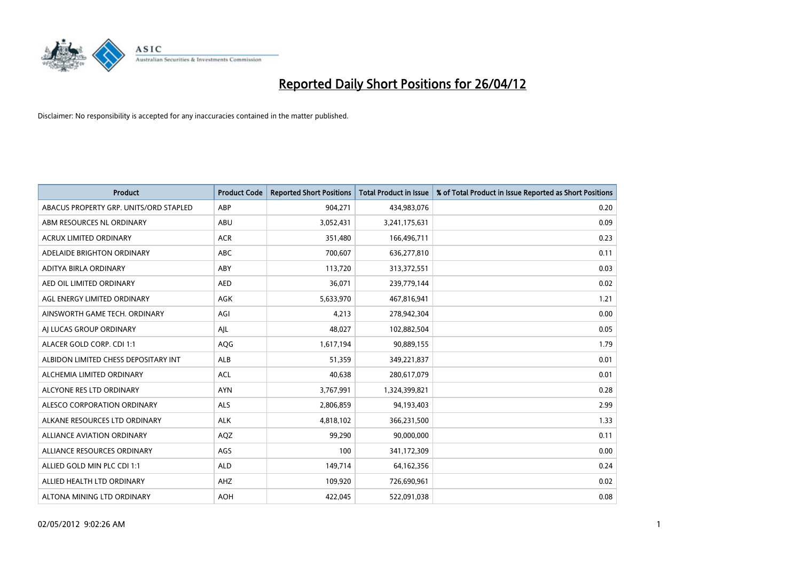

| <b>Product</b>                         | <b>Product Code</b> | <b>Reported Short Positions</b> | <b>Total Product in Issue</b> | % of Total Product in Issue Reported as Short Positions |
|----------------------------------------|---------------------|---------------------------------|-------------------------------|---------------------------------------------------------|
| ABACUS PROPERTY GRP. UNITS/ORD STAPLED | ABP                 | 904,271                         | 434,983,076                   | 0.20                                                    |
| ABM RESOURCES NL ORDINARY              | ABU                 | 3,052,431                       | 3,241,175,631                 | 0.09                                                    |
| <b>ACRUX LIMITED ORDINARY</b>          | <b>ACR</b>          | 351,480                         | 166,496,711                   | 0.23                                                    |
| ADELAIDE BRIGHTON ORDINARY             | <b>ABC</b>          | 700,607                         | 636,277,810                   | 0.11                                                    |
| ADITYA BIRLA ORDINARY                  | ABY                 | 113,720                         | 313,372,551                   | 0.03                                                    |
| AED OIL LIMITED ORDINARY               | <b>AED</b>          | 36,071                          | 239,779,144                   | 0.02                                                    |
| AGL ENERGY LIMITED ORDINARY            | AGK                 | 5,633,970                       | 467,816,941                   | 1.21                                                    |
| AINSWORTH GAME TECH. ORDINARY          | AGI                 | 4,213                           | 278,942,304                   | 0.00                                                    |
| AI LUCAS GROUP ORDINARY                | AJL                 | 48,027                          | 102,882,504                   | 0.05                                                    |
| ALACER GOLD CORP. CDI 1:1              | AQG                 | 1,617,194                       | 90,889,155                    | 1.79                                                    |
| ALBIDON LIMITED CHESS DEPOSITARY INT   | ALB                 | 51,359                          | 349,221,837                   | 0.01                                                    |
| ALCHEMIA LIMITED ORDINARY              | <b>ACL</b>          | 40,638                          | 280,617,079                   | 0.01                                                    |
| ALCYONE RES LTD ORDINARY               | <b>AYN</b>          | 3,767,991                       | 1,324,399,821                 | 0.28                                                    |
| ALESCO CORPORATION ORDINARY            | ALS                 | 2,806,859                       | 94,193,403                    | 2.99                                                    |
| ALKANE RESOURCES LTD ORDINARY          | <b>ALK</b>          | 4,818,102                       | 366,231,500                   | 1.33                                                    |
| ALLIANCE AVIATION ORDINARY             | AQZ                 | 99,290                          | 90,000,000                    | 0.11                                                    |
| ALLIANCE RESOURCES ORDINARY            | AGS                 | 100                             | 341,172,309                   | 0.00                                                    |
| ALLIED GOLD MIN PLC CDI 1:1            | <b>ALD</b>          | 149,714                         | 64,162,356                    | 0.24                                                    |
| ALLIED HEALTH LTD ORDINARY             | AHZ                 | 109,920                         | 726,690,961                   | 0.02                                                    |
| ALTONA MINING LTD ORDINARY             | <b>AOH</b>          | 422,045                         | 522,091,038                   | 0.08                                                    |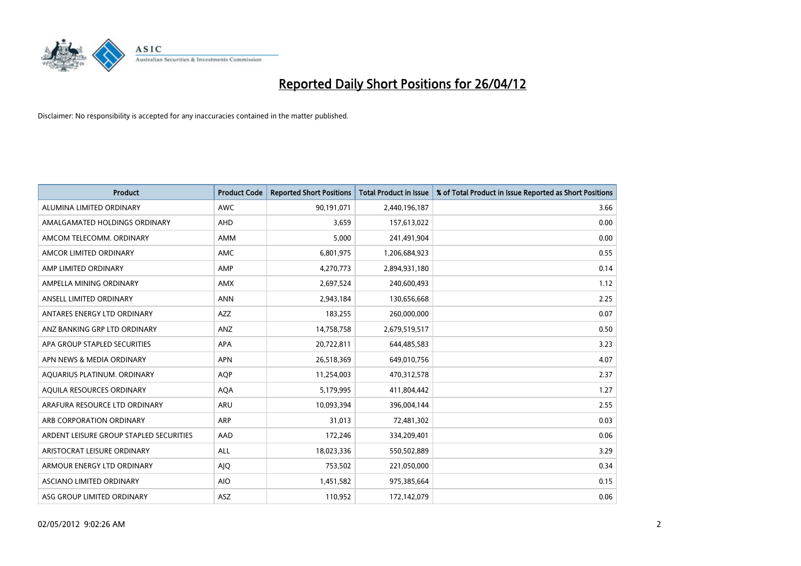

| <b>Product</b>                          | <b>Product Code</b> | <b>Reported Short Positions</b> | <b>Total Product in Issue</b> | % of Total Product in Issue Reported as Short Positions |
|-----------------------------------------|---------------------|---------------------------------|-------------------------------|---------------------------------------------------------|
| ALUMINA LIMITED ORDINARY                | <b>AWC</b>          | 90,191,071                      | 2,440,196,187                 | 3.66                                                    |
| AMALGAMATED HOLDINGS ORDINARY           | AHD                 | 3,659                           | 157,613,022                   | 0.00                                                    |
| AMCOM TELECOMM, ORDINARY                | AMM                 | 5,000                           | 241,491,904                   | 0.00                                                    |
| AMCOR LIMITED ORDINARY                  | AMC                 | 6,801,975                       | 1,206,684,923                 | 0.55                                                    |
| AMP LIMITED ORDINARY                    | AMP                 | 4,270,773                       | 2,894,931,180                 | 0.14                                                    |
| AMPELLA MINING ORDINARY                 | <b>AMX</b>          | 2,697,524                       | 240,600,493                   | 1.12                                                    |
| ANSELL LIMITED ORDINARY                 | <b>ANN</b>          | 2,943,184                       | 130,656,668                   | 2.25                                                    |
| ANTARES ENERGY LTD ORDINARY             | AZZ                 | 183,255                         | 260,000,000                   | 0.07                                                    |
| ANZ BANKING GRP LTD ORDINARY            | ANZ                 | 14,758,758                      | 2,679,519,517                 | 0.50                                                    |
| APA GROUP STAPLED SECURITIES            | <b>APA</b>          | 20,722,811                      | 644,485,583                   | 3.23                                                    |
| APN NEWS & MEDIA ORDINARY               | <b>APN</b>          | 26,518,369                      | 649,010,756                   | 4.07                                                    |
| AQUARIUS PLATINUM. ORDINARY             | AQP                 | 11,254,003                      | 470,312,578                   | 2.37                                                    |
| AQUILA RESOURCES ORDINARY               | <b>AQA</b>          | 5,179,995                       | 411,804,442                   | 1.27                                                    |
| ARAFURA RESOURCE LTD ORDINARY           | ARU                 | 10,093,394                      | 396,004,144                   | 2.55                                                    |
| ARB CORPORATION ORDINARY                | <b>ARP</b>          | 31,013                          | 72,481,302                    | 0.03                                                    |
| ARDENT LEISURE GROUP STAPLED SECURITIES | AAD                 | 172,246                         | 334,209,401                   | 0.06                                                    |
| ARISTOCRAT LEISURE ORDINARY             | ALL                 | 18,023,336                      | 550,502,889                   | 3.29                                                    |
| ARMOUR ENERGY LTD ORDINARY              | <b>AJQ</b>          | 753,502                         | 221,050,000                   | 0.34                                                    |
| ASCIANO LIMITED ORDINARY                | <b>AIO</b>          | 1,451,582                       | 975,385,664                   | 0.15                                                    |
| ASG GROUP LIMITED ORDINARY              | ASZ                 | 110,952                         | 172,142,079                   | 0.06                                                    |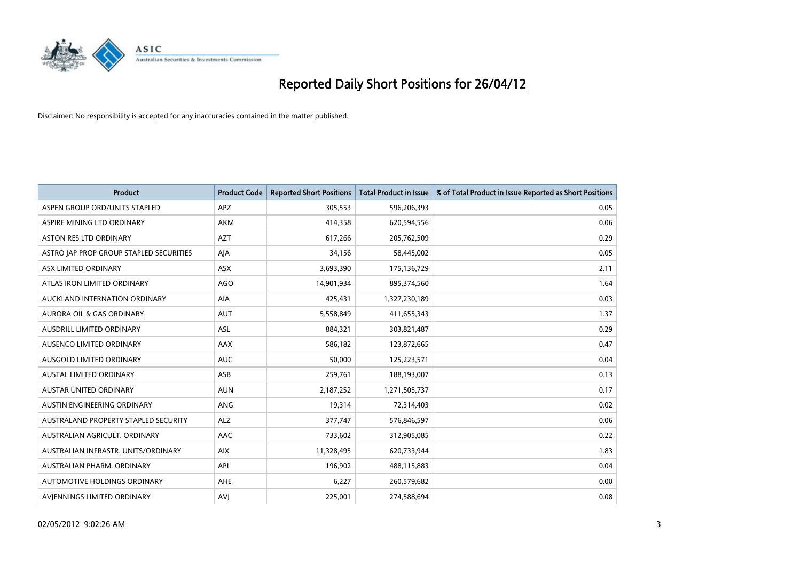

| <b>Product</b>                          | <b>Product Code</b> | <b>Reported Short Positions</b> | <b>Total Product in Issue</b> | % of Total Product in Issue Reported as Short Positions |
|-----------------------------------------|---------------------|---------------------------------|-------------------------------|---------------------------------------------------------|
| ASPEN GROUP ORD/UNITS STAPLED           | <b>APZ</b>          | 305,553                         | 596,206,393                   | 0.05                                                    |
| ASPIRE MINING LTD ORDINARY              | <b>AKM</b>          | 414,358                         | 620,594,556                   | 0.06                                                    |
| <b>ASTON RES LTD ORDINARY</b>           | <b>AZT</b>          | 617,266                         | 205,762,509                   | 0.29                                                    |
| ASTRO JAP PROP GROUP STAPLED SECURITIES | AJA                 | 34,156                          | 58,445,002                    | 0.05                                                    |
| ASX LIMITED ORDINARY                    | ASX                 | 3,693,390                       | 175,136,729                   | 2.11                                                    |
| ATLAS IRON LIMITED ORDINARY             | <b>AGO</b>          | 14,901,934                      | 895,374,560                   | 1.64                                                    |
| AUCKLAND INTERNATION ORDINARY           | AIA                 | 425,431                         | 1,327,230,189                 | 0.03                                                    |
| AURORA OIL & GAS ORDINARY               | <b>AUT</b>          | 5,558,849                       | 411,655,343                   | 1.37                                                    |
| AUSDRILL LIMITED ORDINARY               | <b>ASL</b>          | 884,321                         | 303,821,487                   | 0.29                                                    |
| AUSENCO LIMITED ORDINARY                | AAX                 | 586,182                         | 123,872,665                   | 0.47                                                    |
| AUSGOLD LIMITED ORDINARY                | <b>AUC</b>          | 50,000                          | 125,223,571                   | 0.04                                                    |
| <b>AUSTAL LIMITED ORDINARY</b>          | ASB                 | 259,761                         | 188,193,007                   | 0.13                                                    |
| AUSTAR UNITED ORDINARY                  | <b>AUN</b>          | 2,187,252                       | 1,271,505,737                 | 0.17                                                    |
| AUSTIN ENGINEERING ORDINARY             | ANG                 | 19,314                          | 72,314,403                    | 0.02                                                    |
| AUSTRALAND PROPERTY STAPLED SECURITY    | <b>ALZ</b>          | 377,747                         | 576,846,597                   | 0.06                                                    |
| AUSTRALIAN AGRICULT. ORDINARY           | AAC                 | 733,602                         | 312,905,085                   | 0.22                                                    |
| AUSTRALIAN INFRASTR. UNITS/ORDINARY     | <b>AIX</b>          | 11,328,495                      | 620,733,944                   | 1.83                                                    |
| AUSTRALIAN PHARM. ORDINARY              | API                 | 196,902                         | 488,115,883                   | 0.04                                                    |
| AUTOMOTIVE HOLDINGS ORDINARY            | AHE                 | 6,227                           | 260,579,682                   | 0.00                                                    |
| AVIENNINGS LIMITED ORDINARY             | <b>AVJ</b>          | 225,001                         | 274,588,694                   | 0.08                                                    |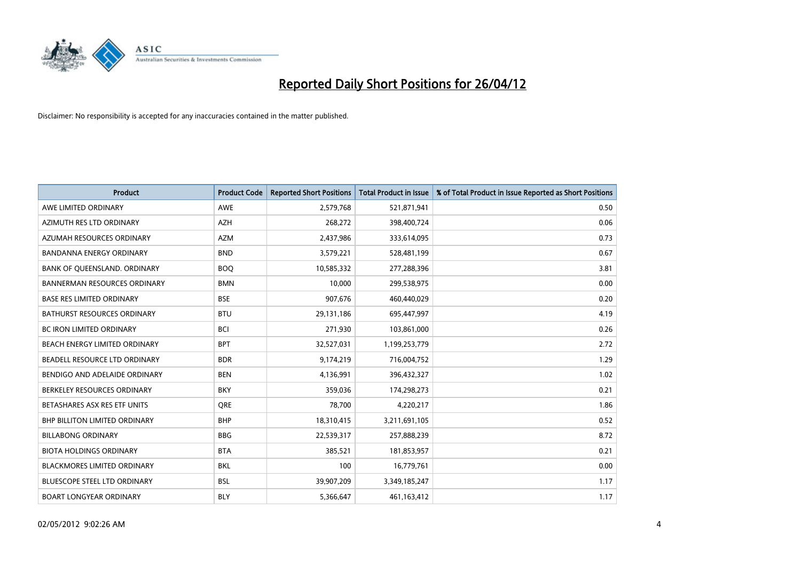

| <b>Product</b>                       | <b>Product Code</b> | <b>Reported Short Positions</b> | <b>Total Product in Issue</b> | % of Total Product in Issue Reported as Short Positions |
|--------------------------------------|---------------------|---------------------------------|-------------------------------|---------------------------------------------------------|
| AWE LIMITED ORDINARY                 | <b>AWE</b>          | 2,579,768                       | 521,871,941                   | 0.50                                                    |
| AZIMUTH RES LTD ORDINARY             | <b>AZH</b>          | 268,272                         | 398,400,724                   | 0.06                                                    |
| AZUMAH RESOURCES ORDINARY            | AZM                 | 2,437,986                       | 333,614,095                   | 0.73                                                    |
| <b>BANDANNA ENERGY ORDINARY</b>      | <b>BND</b>          | 3,579,221                       | 528,481,199                   | 0.67                                                    |
| BANK OF QUEENSLAND. ORDINARY         | <b>BOQ</b>          | 10,585,332                      | 277,288,396                   | 3.81                                                    |
| <b>BANNERMAN RESOURCES ORDINARY</b>  | <b>BMN</b>          | 10,000                          | 299,538,975                   | 0.00                                                    |
| <b>BASE RES LIMITED ORDINARY</b>     | <b>BSE</b>          | 907,676                         | 460,440,029                   | 0.20                                                    |
| BATHURST RESOURCES ORDINARY          | <b>BTU</b>          | 29,131,186                      | 695,447,997                   | 4.19                                                    |
| BC IRON LIMITED ORDINARY             | <b>BCI</b>          | 271,930                         | 103,861,000                   | 0.26                                                    |
| BEACH ENERGY LIMITED ORDINARY        | <b>BPT</b>          | 32,527,031                      | 1,199,253,779                 | 2.72                                                    |
| BEADELL RESOURCE LTD ORDINARY        | <b>BDR</b>          | 9,174,219                       | 716,004,752                   | 1.29                                                    |
| BENDIGO AND ADELAIDE ORDINARY        | <b>BEN</b>          | 4,136,991                       | 396,432,327                   | 1.02                                                    |
| BERKELEY RESOURCES ORDINARY          | <b>BKY</b>          | 359,036                         | 174,298,273                   | 0.21                                                    |
| BETASHARES ASX RES ETF UNITS         | <b>ORE</b>          | 78,700                          | 4,220,217                     | 1.86                                                    |
| <b>BHP BILLITON LIMITED ORDINARY</b> | <b>BHP</b>          | 18,310,415                      | 3,211,691,105                 | 0.52                                                    |
| <b>BILLABONG ORDINARY</b>            | <b>BBG</b>          | 22,539,317                      | 257,888,239                   | 8.72                                                    |
| <b>BIOTA HOLDINGS ORDINARY</b>       | <b>BTA</b>          | 385,521                         | 181,853,957                   | 0.21                                                    |
| <b>BLACKMORES LIMITED ORDINARY</b>   | <b>BKL</b>          | 100                             | 16,779,761                    | 0.00                                                    |
| <b>BLUESCOPE STEEL LTD ORDINARY</b>  | <b>BSL</b>          | 39,907,209                      | 3,349,185,247                 | 1.17                                                    |
| <b>BOART LONGYEAR ORDINARY</b>       | <b>BLY</b>          | 5,366,647                       | 461, 163, 412                 | 1.17                                                    |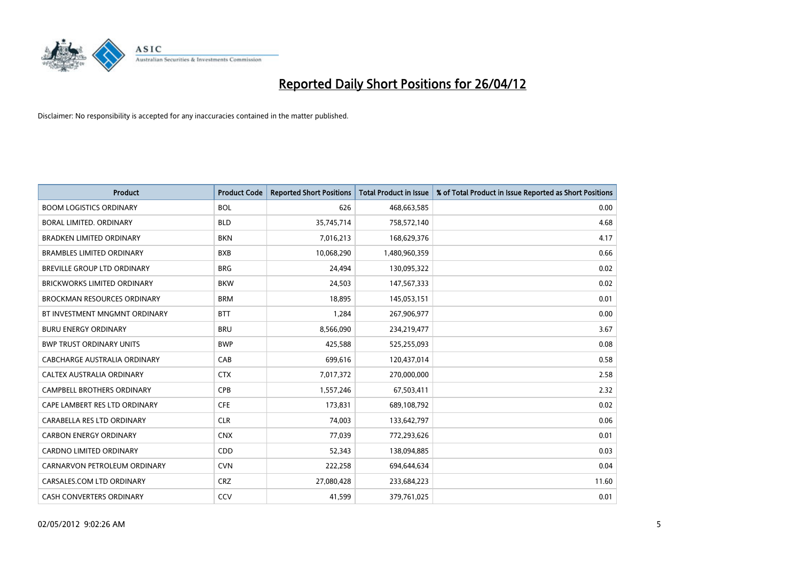

| <b>Product</b>                     | <b>Product Code</b> | <b>Reported Short Positions</b> | <b>Total Product in Issue</b> | % of Total Product in Issue Reported as Short Positions |
|------------------------------------|---------------------|---------------------------------|-------------------------------|---------------------------------------------------------|
| <b>BOOM LOGISTICS ORDINARY</b>     | <b>BOL</b>          | 626                             | 468,663,585                   | 0.00                                                    |
| <b>BORAL LIMITED, ORDINARY</b>     | <b>BLD</b>          | 35,745,714                      | 758,572,140                   | 4.68                                                    |
| <b>BRADKEN LIMITED ORDINARY</b>    | <b>BKN</b>          | 7,016,213                       | 168,629,376                   | 4.17                                                    |
| <b>BRAMBLES LIMITED ORDINARY</b>   | <b>BXB</b>          | 10,068,290                      | 1,480,960,359                 | 0.66                                                    |
| BREVILLE GROUP LTD ORDINARY        | <b>BRG</b>          | 24,494                          | 130,095,322                   | 0.02                                                    |
| <b>BRICKWORKS LIMITED ORDINARY</b> | <b>BKW</b>          | 24,503                          | 147,567,333                   | 0.02                                                    |
| <b>BROCKMAN RESOURCES ORDINARY</b> | <b>BRM</b>          | 18,895                          | 145,053,151                   | 0.01                                                    |
| BT INVESTMENT MNGMNT ORDINARY      | <b>BTT</b>          | 1,284                           | 267,906,977                   | 0.00                                                    |
| <b>BURU ENERGY ORDINARY</b>        | <b>BRU</b>          | 8,566,090                       | 234,219,477                   | 3.67                                                    |
| <b>BWP TRUST ORDINARY UNITS</b>    | <b>BWP</b>          | 425,588                         | 525,255,093                   | 0.08                                                    |
| CABCHARGE AUSTRALIA ORDINARY       | CAB                 | 699,616                         | 120,437,014                   | 0.58                                                    |
| CALTEX AUSTRALIA ORDINARY          | <b>CTX</b>          | 7,017,372                       | 270,000,000                   | 2.58                                                    |
| CAMPBELL BROTHERS ORDINARY         | <b>CPB</b>          | 1,557,246                       | 67,503,411                    | 2.32                                                    |
| CAPE LAMBERT RES LTD ORDINARY      | <b>CFE</b>          | 173,831                         | 689,108,792                   | 0.02                                                    |
| CARABELLA RES LTD ORDINARY         | <b>CLR</b>          | 74,003                          | 133,642,797                   | 0.06                                                    |
| <b>CARBON ENERGY ORDINARY</b>      | <b>CNX</b>          | 77,039                          | 772,293,626                   | 0.01                                                    |
| <b>CARDNO LIMITED ORDINARY</b>     | CDD                 | 52,343                          | 138,094,885                   | 0.03                                                    |
| CARNARVON PETROLEUM ORDINARY       | <b>CVN</b>          | 222,258                         | 694,644,634                   | 0.04                                                    |
| CARSALES.COM LTD ORDINARY          | <b>CRZ</b>          | 27,080,428                      | 233,684,223                   | 11.60                                                   |
| <b>CASH CONVERTERS ORDINARY</b>    | CCV                 | 41,599                          | 379,761,025                   | 0.01                                                    |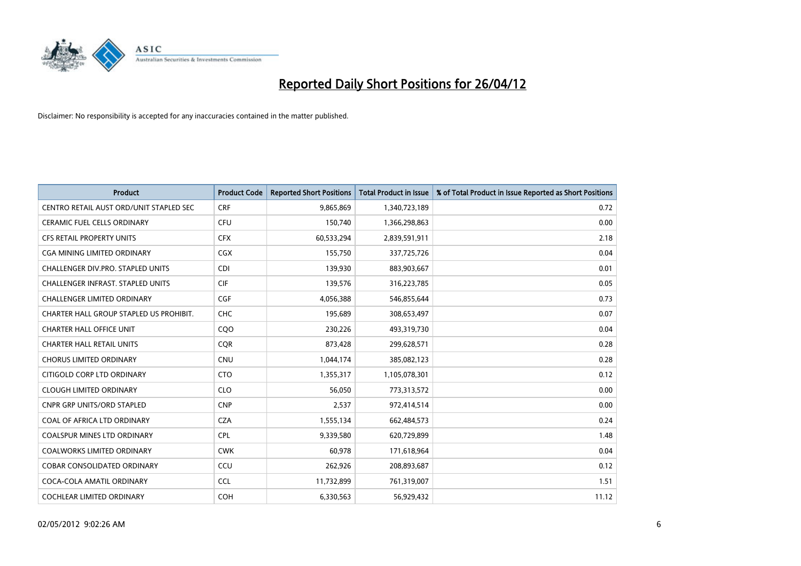

| <b>Product</b>                           | <b>Product Code</b> | <b>Reported Short Positions</b> | <b>Total Product in Issue</b> | % of Total Product in Issue Reported as Short Positions |
|------------------------------------------|---------------------|---------------------------------|-------------------------------|---------------------------------------------------------|
| CENTRO RETAIL AUST ORD/UNIT STAPLED SEC  | <b>CRF</b>          | 9,865,869                       | 1,340,723,189                 | 0.72                                                    |
| CERAMIC FUEL CELLS ORDINARY              | <b>CFU</b>          | 150,740                         | 1,366,298,863                 | 0.00                                                    |
| <b>CFS RETAIL PROPERTY UNITS</b>         | <b>CFX</b>          | 60,533,294                      | 2,839,591,911                 | 2.18                                                    |
| CGA MINING LIMITED ORDINARY              | CGX                 | 155,750                         | 337,725,726                   | 0.04                                                    |
| CHALLENGER DIV.PRO. STAPLED UNITS        | <b>CDI</b>          | 139,930                         | 883,903,667                   | 0.01                                                    |
| <b>CHALLENGER INFRAST, STAPLED UNITS</b> | <b>CIF</b>          | 139,576                         | 316,223,785                   | 0.05                                                    |
| <b>CHALLENGER LIMITED ORDINARY</b>       | <b>CGF</b>          | 4,056,388                       | 546,855,644                   | 0.73                                                    |
| CHARTER HALL GROUP STAPLED US PROHIBIT.  | <b>CHC</b>          | 195,689                         | 308,653,497                   | 0.07                                                    |
| <b>CHARTER HALL OFFICE UNIT</b>          | CQO                 | 230,226                         | 493,319,730                   | 0.04                                                    |
| <b>CHARTER HALL RETAIL UNITS</b>         | <b>COR</b>          | 873,428                         | 299,628,571                   | 0.28                                                    |
| <b>CHORUS LIMITED ORDINARY</b>           | <b>CNU</b>          | 1,044,174                       | 385,082,123                   | 0.28                                                    |
| CITIGOLD CORP LTD ORDINARY               | <b>CTO</b>          | 1,355,317                       | 1,105,078,301                 | 0.12                                                    |
| <b>CLOUGH LIMITED ORDINARY</b>           | <b>CLO</b>          | 56,050                          | 773,313,572                   | 0.00                                                    |
| <b>CNPR GRP UNITS/ORD STAPLED</b>        | <b>CNP</b>          | 2,537                           | 972,414,514                   | 0.00                                                    |
| COAL OF AFRICA LTD ORDINARY              | <b>CZA</b>          | 1,555,134                       | 662,484,573                   | 0.24                                                    |
| COALSPUR MINES LTD ORDINARY              | <b>CPL</b>          | 9,339,580                       | 620,729,899                   | 1.48                                                    |
| COALWORKS LIMITED ORDINARY               | <b>CWK</b>          | 60,978                          | 171,618,964                   | 0.04                                                    |
| COBAR CONSOLIDATED ORDINARY              | CCU                 | 262,926                         | 208,893,687                   | 0.12                                                    |
| COCA-COLA AMATIL ORDINARY                | <b>CCL</b>          | 11,732,899                      | 761,319,007                   | 1.51                                                    |
| COCHLEAR LIMITED ORDINARY                | <b>COH</b>          | 6,330,563                       | 56,929,432                    | 11.12                                                   |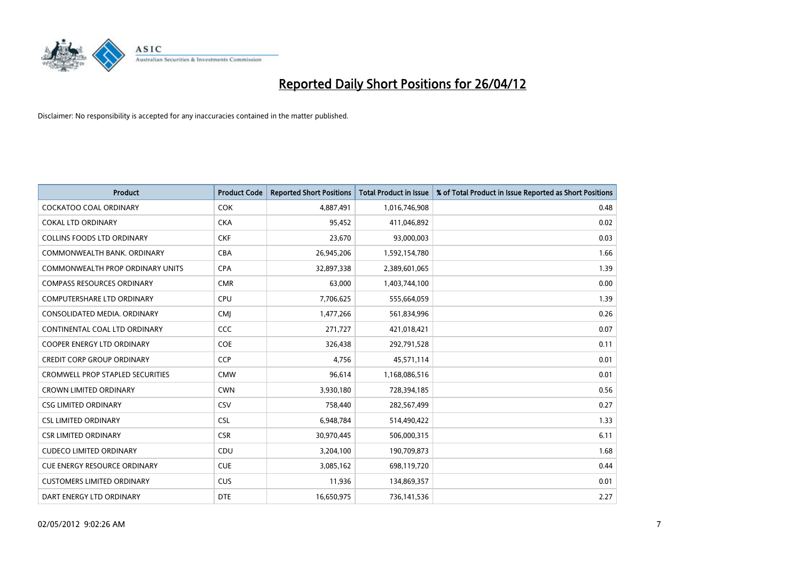

| <b>Product</b>                          | <b>Product Code</b> | <b>Reported Short Positions</b> | <b>Total Product in Issue</b> | % of Total Product in Issue Reported as Short Positions |
|-----------------------------------------|---------------------|---------------------------------|-------------------------------|---------------------------------------------------------|
| <b>COCKATOO COAL ORDINARY</b>           | <b>COK</b>          | 4,887,491                       | 1,016,746,908                 | 0.48                                                    |
| <b>COKAL LTD ORDINARY</b>               | <b>CKA</b>          | 95,452                          | 411,046,892                   | 0.02                                                    |
| <b>COLLINS FOODS LTD ORDINARY</b>       | <b>CKF</b>          | 23,670                          | 93,000,003                    | 0.03                                                    |
| COMMONWEALTH BANK, ORDINARY             | <b>CBA</b>          | 26,945,206                      | 1,592,154,780                 | 1.66                                                    |
| COMMONWEALTH PROP ORDINARY UNITS        | <b>CPA</b>          | 32,897,338                      | 2,389,601,065                 | 1.39                                                    |
| <b>COMPASS RESOURCES ORDINARY</b>       | <b>CMR</b>          | 63,000                          | 1,403,744,100                 | 0.00                                                    |
| <b>COMPUTERSHARE LTD ORDINARY</b>       | <b>CPU</b>          | 7,706,625                       | 555,664,059                   | 1.39                                                    |
| CONSOLIDATED MEDIA. ORDINARY            | <b>CMJ</b>          | 1,477,266                       | 561,834,996                   | 0.26                                                    |
| CONTINENTAL COAL LTD ORDINARY           | <b>CCC</b>          | 271,727                         | 421,018,421                   | 0.07                                                    |
| <b>COOPER ENERGY LTD ORDINARY</b>       | <b>COE</b>          | 326,438                         | 292,791,528                   | 0.11                                                    |
| <b>CREDIT CORP GROUP ORDINARY</b>       | <b>CCP</b>          | 4,756                           | 45,571,114                    | 0.01                                                    |
| <b>CROMWELL PROP STAPLED SECURITIES</b> | <b>CMW</b>          | 96,614                          | 1,168,086,516                 | 0.01                                                    |
| <b>CROWN LIMITED ORDINARY</b>           | <b>CWN</b>          | 3,930,180                       | 728,394,185                   | 0.56                                                    |
| <b>CSG LIMITED ORDINARY</b>             | CSV                 | 758,440                         | 282,567,499                   | 0.27                                                    |
| <b>CSL LIMITED ORDINARY</b>             | <b>CSL</b>          | 6,948,784                       | 514,490,422                   | 1.33                                                    |
| <b>CSR LIMITED ORDINARY</b>             | <b>CSR</b>          | 30,970,445                      | 506,000,315                   | 6.11                                                    |
| <b>CUDECO LIMITED ORDINARY</b>          | CDU                 | 3,204,100                       | 190,709,873                   | 1.68                                                    |
| <b>CUE ENERGY RESOURCE ORDINARY</b>     | <b>CUE</b>          | 3,085,162                       | 698,119,720                   | 0.44                                                    |
| <b>CUSTOMERS LIMITED ORDINARY</b>       | <b>CUS</b>          | 11,936                          | 134,869,357                   | 0.01                                                    |
| DART ENERGY LTD ORDINARY                | <b>DTE</b>          | 16,650,975                      | 736,141,536                   | 2.27                                                    |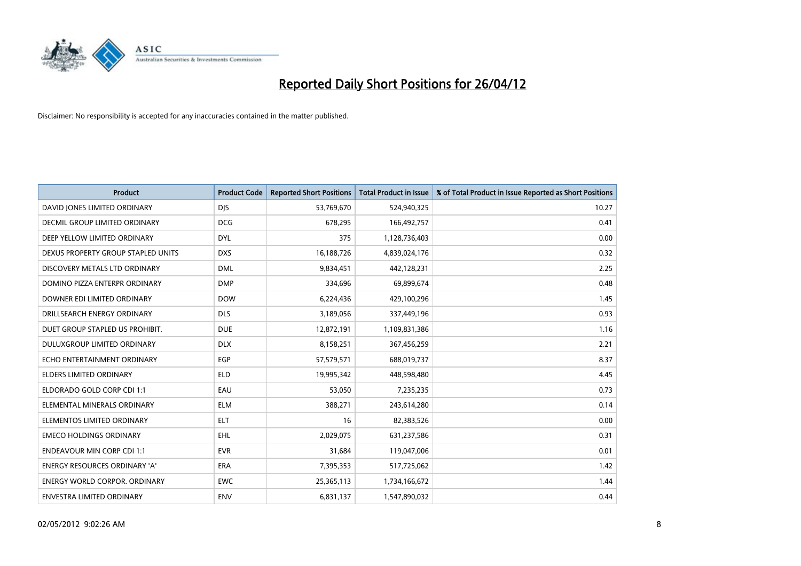

| <b>Product</b>                       | <b>Product Code</b> | <b>Reported Short Positions</b> | <b>Total Product in Issue</b> | % of Total Product in Issue Reported as Short Positions |
|--------------------------------------|---------------------|---------------------------------|-------------------------------|---------------------------------------------------------|
| DAVID JONES LIMITED ORDINARY         | <b>DJS</b>          | 53,769,670                      | 524,940,325                   | 10.27                                                   |
| <b>DECMIL GROUP LIMITED ORDINARY</b> | <b>DCG</b>          | 678,295                         | 166,492,757                   | 0.41                                                    |
| DEEP YELLOW LIMITED ORDINARY         | <b>DYL</b>          | 375                             | 1,128,736,403                 | 0.00                                                    |
| DEXUS PROPERTY GROUP STAPLED UNITS   | <b>DXS</b>          | 16,188,726                      | 4,839,024,176                 | 0.32                                                    |
| DISCOVERY METALS LTD ORDINARY        | <b>DML</b>          | 9,834,451                       | 442,128,231                   | 2.25                                                    |
| DOMINO PIZZA ENTERPR ORDINARY        | <b>DMP</b>          | 334,696                         | 69,899,674                    | 0.48                                                    |
| DOWNER EDI LIMITED ORDINARY          | <b>DOW</b>          | 6,224,436                       | 429,100,296                   | 1.45                                                    |
| DRILLSEARCH ENERGY ORDINARY          | <b>DLS</b>          | 3,189,056                       | 337,449,196                   | 0.93                                                    |
| DUET GROUP STAPLED US PROHIBIT.      | <b>DUE</b>          | 12,872,191                      | 1,109,831,386                 | 1.16                                                    |
| DULUXGROUP LIMITED ORDINARY          | <b>DLX</b>          | 8,158,251                       | 367,456,259                   | 2.21                                                    |
| ECHO ENTERTAINMENT ORDINARY          | EGP                 | 57,579,571                      | 688,019,737                   | 8.37                                                    |
| <b>ELDERS LIMITED ORDINARY</b>       | <b>ELD</b>          | 19,995,342                      | 448,598,480                   | 4.45                                                    |
| ELDORADO GOLD CORP CDI 1:1           | EAU                 | 53,050                          | 7,235,235                     | 0.73                                                    |
| ELEMENTAL MINERALS ORDINARY          | <b>ELM</b>          | 388,271                         | 243,614,280                   | 0.14                                                    |
| ELEMENTOS LIMITED ORDINARY           | <b>ELT</b>          | 16                              | 82,383,526                    | 0.00                                                    |
| <b>EMECO HOLDINGS ORDINARY</b>       | <b>EHL</b>          | 2,029,075                       | 631,237,586                   | 0.31                                                    |
| <b>ENDEAVOUR MIN CORP CDI 1:1</b>    | <b>EVR</b>          | 31,684                          | 119,047,006                   | 0.01                                                    |
| <b>ENERGY RESOURCES ORDINARY 'A'</b> | <b>ERA</b>          | 7,395,353                       | 517,725,062                   | 1.42                                                    |
| <b>ENERGY WORLD CORPOR, ORDINARY</b> | <b>EWC</b>          | 25,365,113                      | 1,734,166,672                 | 1.44                                                    |
| <b>ENVESTRA LIMITED ORDINARY</b>     | <b>ENV</b>          | 6,831,137                       | 1,547,890,032                 | 0.44                                                    |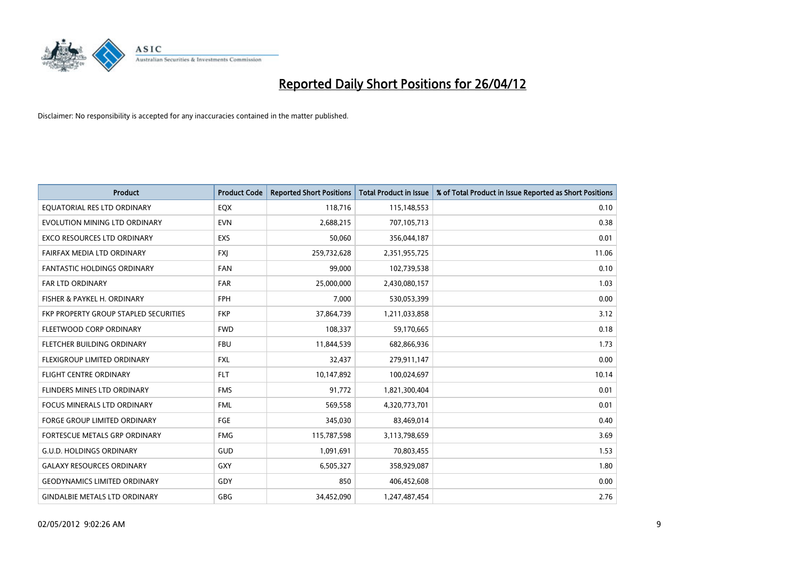

| <b>Product</b>                        | <b>Product Code</b> | <b>Reported Short Positions</b> | <b>Total Product in Issue</b> | % of Total Product in Issue Reported as Short Positions |
|---------------------------------------|---------------------|---------------------------------|-------------------------------|---------------------------------------------------------|
| EQUATORIAL RES LTD ORDINARY           | EQX                 | 118,716                         | 115,148,553                   | 0.10                                                    |
| EVOLUTION MINING LTD ORDINARY         | <b>EVN</b>          | 2,688,215                       | 707,105,713                   | 0.38                                                    |
| <b>EXCO RESOURCES LTD ORDINARY</b>    | <b>EXS</b>          | 50,060                          | 356,044,187                   | 0.01                                                    |
| FAIRFAX MEDIA LTD ORDINARY            | <b>FXJ</b>          | 259,732,628                     | 2,351,955,725                 | 11.06                                                   |
| <b>FANTASTIC HOLDINGS ORDINARY</b>    | <b>FAN</b>          | 99,000                          | 102,739,538                   | 0.10                                                    |
| <b>FAR LTD ORDINARY</b>               | <b>FAR</b>          | 25,000,000                      | 2,430,080,157                 | 1.03                                                    |
| FISHER & PAYKEL H. ORDINARY           | <b>FPH</b>          | 7,000                           | 530,053,399                   | 0.00                                                    |
| FKP PROPERTY GROUP STAPLED SECURITIES | <b>FKP</b>          | 37,864,739                      | 1,211,033,858                 | 3.12                                                    |
| FLEETWOOD CORP ORDINARY               | <b>FWD</b>          | 108,337                         | 59,170,665                    | 0.18                                                    |
| FLETCHER BUILDING ORDINARY            | <b>FBU</b>          | 11,844,539                      | 682,866,936                   | 1.73                                                    |
| FLEXIGROUP LIMITED ORDINARY           | FXL                 | 32,437                          | 279,911,147                   | 0.00                                                    |
| <b>FLIGHT CENTRE ORDINARY</b>         | <b>FLT</b>          | 10,147,892                      | 100,024,697                   | 10.14                                                   |
| FLINDERS MINES LTD ORDINARY           | <b>FMS</b>          | 91,772                          | 1,821,300,404                 | 0.01                                                    |
| <b>FOCUS MINERALS LTD ORDINARY</b>    | <b>FML</b>          | 569,558                         | 4,320,773,701                 | 0.01                                                    |
| <b>FORGE GROUP LIMITED ORDINARY</b>   | FGE                 | 345,030                         | 83,469,014                    | 0.40                                                    |
| FORTESCUE METALS GRP ORDINARY         | <b>FMG</b>          | 115,787,598                     | 3,113,798,659                 | 3.69                                                    |
| <b>G.U.D. HOLDINGS ORDINARY</b>       | GUD                 | 1,091,691                       | 70,803,455                    | 1.53                                                    |
| <b>GALAXY RESOURCES ORDINARY</b>      | GXY                 | 6,505,327                       | 358,929,087                   | 1.80                                                    |
| <b>GEODYNAMICS LIMITED ORDINARY</b>   | GDY                 | 850                             | 406,452,608                   | 0.00                                                    |
| <b>GINDALBIE METALS LTD ORDINARY</b>  | GBG                 | 34,452,090                      | 1,247,487,454                 | 2.76                                                    |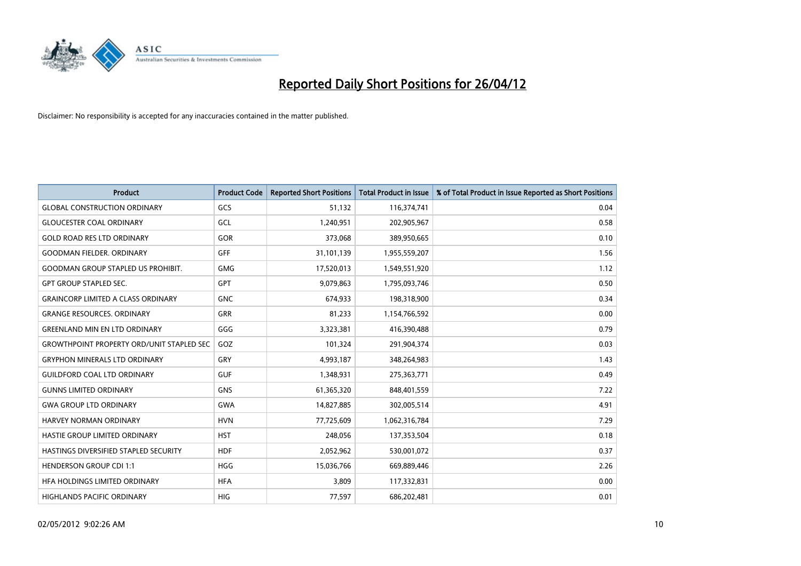

| <b>Product</b>                                   | <b>Product Code</b> | <b>Reported Short Positions</b> | <b>Total Product in Issue</b> | % of Total Product in Issue Reported as Short Positions |
|--------------------------------------------------|---------------------|---------------------------------|-------------------------------|---------------------------------------------------------|
| <b>GLOBAL CONSTRUCTION ORDINARY</b>              | GCS                 | 51,132                          | 116,374,741                   | 0.04                                                    |
| <b>GLOUCESTER COAL ORDINARY</b>                  | GCL                 | 1,240,951                       | 202,905,967                   | 0.58                                                    |
| <b>GOLD ROAD RES LTD ORDINARY</b>                | GOR                 | 373,068                         | 389,950,665                   | 0.10                                                    |
| <b>GOODMAN FIELDER, ORDINARY</b>                 | GFF                 | 31,101,139                      | 1,955,559,207                 | 1.56                                                    |
| <b>GOODMAN GROUP STAPLED US PROHIBIT.</b>        | <b>GMG</b>          | 17,520,013                      | 1,549,551,920                 | 1.12                                                    |
| <b>GPT GROUP STAPLED SEC.</b>                    | GPT                 | 9,079,863                       | 1,795,093,746                 | 0.50                                                    |
| <b>GRAINCORP LIMITED A CLASS ORDINARY</b>        | <b>GNC</b>          | 674,933                         | 198,318,900                   | 0.34                                                    |
| <b>GRANGE RESOURCES, ORDINARY</b>                | <b>GRR</b>          | 81,233                          | 1,154,766,592                 | 0.00                                                    |
| <b>GREENLAND MIN EN LTD ORDINARY</b>             | GGG                 | 3,323,381                       | 416,390,488                   | 0.79                                                    |
| <b>GROWTHPOINT PROPERTY ORD/UNIT STAPLED SEC</b> | GOZ                 | 101,324                         | 291,904,374                   | 0.03                                                    |
| <b>GRYPHON MINERALS LTD ORDINARY</b>             | GRY                 | 4,993,187                       | 348,264,983                   | 1.43                                                    |
| <b>GUILDFORD COAL LTD ORDINARY</b>               | <b>GUF</b>          | 1,348,931                       | 275,363,771                   | 0.49                                                    |
| <b>GUNNS LIMITED ORDINARY</b>                    | <b>GNS</b>          | 61,365,320                      | 848,401,559                   | 7.22                                                    |
| <b>GWA GROUP LTD ORDINARY</b>                    | <b>GWA</b>          | 14,827,885                      | 302,005,514                   | 4.91                                                    |
| HARVEY NORMAN ORDINARY                           | <b>HVN</b>          | 77,725,609                      | 1,062,316,784                 | 7.29                                                    |
| HASTIE GROUP LIMITED ORDINARY                    | <b>HST</b>          | 248,056                         | 137,353,504                   | 0.18                                                    |
| HASTINGS DIVERSIFIED STAPLED SECURITY            | <b>HDF</b>          | 2,052,962                       | 530,001,072                   | 0.37                                                    |
| <b>HENDERSON GROUP CDI 1:1</b>                   | <b>HGG</b>          | 15,036,766                      | 669,889,446                   | 2.26                                                    |
| HFA HOLDINGS LIMITED ORDINARY                    | <b>HFA</b>          | 3,809                           | 117,332,831                   | 0.00                                                    |
| <b>HIGHLANDS PACIFIC ORDINARY</b>                | <b>HIG</b>          | 77,597                          | 686,202,481                   | 0.01                                                    |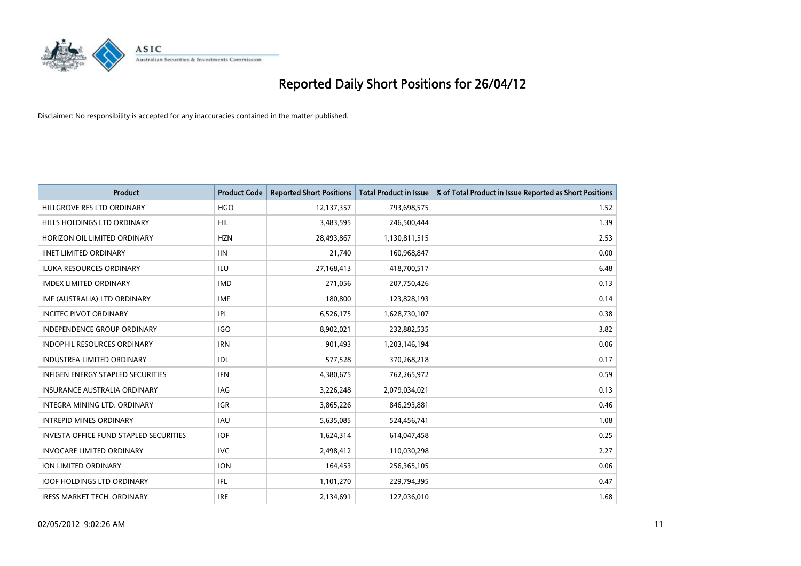

| <b>Product</b>                           | <b>Product Code</b> | <b>Reported Short Positions</b> | <b>Total Product in Issue</b> | % of Total Product in Issue Reported as Short Positions |
|------------------------------------------|---------------------|---------------------------------|-------------------------------|---------------------------------------------------------|
| HILLGROVE RES LTD ORDINARY               | <b>HGO</b>          | 12,137,357                      | 793,698,575                   | 1.52                                                    |
| HILLS HOLDINGS LTD ORDINARY              | <b>HIL</b>          | 3,483,595                       | 246,500,444                   | 1.39                                                    |
| HORIZON OIL LIMITED ORDINARY             | <b>HZN</b>          | 28,493,867                      | 1,130,811,515                 | 2.53                                                    |
| <b>IINET LIMITED ORDINARY</b>            | <b>IIN</b>          | 21,740                          | 160,968,847                   | 0.00                                                    |
| <b>ILUKA RESOURCES ORDINARY</b>          | <b>ILU</b>          | 27,168,413                      | 418,700,517                   | 6.48                                                    |
| <b>IMDEX LIMITED ORDINARY</b>            | <b>IMD</b>          | 271,056                         | 207,750,426                   | 0.13                                                    |
| IMF (AUSTRALIA) LTD ORDINARY             | <b>IMF</b>          | 180,800                         | 123,828,193                   | 0.14                                                    |
| <b>INCITEC PIVOT ORDINARY</b>            | IPL                 | 6,526,175                       | 1,628,730,107                 | 0.38                                                    |
| INDEPENDENCE GROUP ORDINARY              | <b>IGO</b>          | 8,902,021                       | 232,882,535                   | 3.82                                                    |
| <b>INDOPHIL RESOURCES ORDINARY</b>       | <b>IRN</b>          | 901,493                         | 1,203,146,194                 | 0.06                                                    |
| <b>INDUSTREA LIMITED ORDINARY</b>        | <b>IDL</b>          | 577,528                         | 370,268,218                   | 0.17                                                    |
| <b>INFIGEN ENERGY STAPLED SECURITIES</b> | <b>IFN</b>          | 4,380,675                       | 762,265,972                   | 0.59                                                    |
| <b>INSURANCE AUSTRALIA ORDINARY</b>      | IAG                 | 3,226,248                       | 2,079,034,021                 | 0.13                                                    |
| INTEGRA MINING LTD, ORDINARY             | <b>IGR</b>          | 3,865,226                       | 846,293,881                   | 0.46                                                    |
| <b>INTREPID MINES ORDINARY</b>           | <b>IAU</b>          | 5,635,085                       | 524,456,741                   | 1.08                                                    |
| INVESTA OFFICE FUND STAPLED SECURITIES   | <b>IOF</b>          | 1,624,314                       | 614,047,458                   | 0.25                                                    |
| <b>INVOCARE LIMITED ORDINARY</b>         | <b>IVC</b>          | 2,498,412                       | 110,030,298                   | 2.27                                                    |
| ION LIMITED ORDINARY                     | <b>ION</b>          | 164,453                         | 256,365,105                   | 0.06                                                    |
| <b>IOOF HOLDINGS LTD ORDINARY</b>        | IFL                 | 1,101,270                       | 229,794,395                   | 0.47                                                    |
| <b>IRESS MARKET TECH. ORDINARY</b>       | <b>IRE</b>          | 2,134,691                       | 127,036,010                   | 1.68                                                    |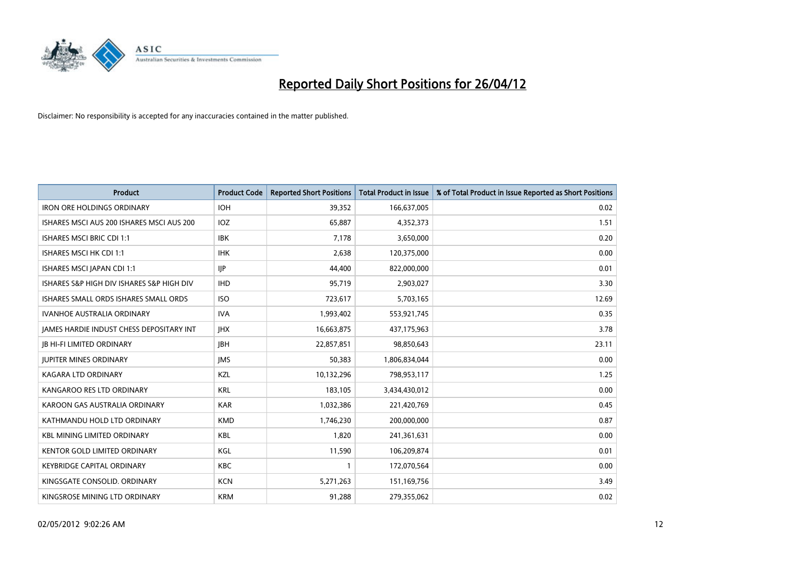

| <b>Product</b>                            | <b>Product Code</b> | <b>Reported Short Positions</b> | <b>Total Product in Issue</b> | % of Total Product in Issue Reported as Short Positions |
|-------------------------------------------|---------------------|---------------------------------|-------------------------------|---------------------------------------------------------|
| <b>IRON ORE HOLDINGS ORDINARY</b>         | <b>IOH</b>          | 39,352                          | 166,637,005                   | 0.02                                                    |
| ISHARES MSCI AUS 200 ISHARES MSCI AUS 200 | <b>IOZ</b>          | 65,887                          | 4,352,373                     | 1.51                                                    |
| <b>ISHARES MSCI BRIC CDI 1:1</b>          | <b>IBK</b>          | 7,178                           | 3,650,000                     | 0.20                                                    |
| ISHARES MSCI HK CDI 1:1                   | <b>IHK</b>          | 2,638                           | 120,375,000                   | 0.00                                                    |
| ISHARES MSCI JAPAN CDI 1:1                | <b>IIP</b>          | 44,400                          | 822,000,000                   | 0.01                                                    |
| ISHARES S&P HIGH DIV ISHARES S&P HIGH DIV | <b>IHD</b>          | 95,719                          | 2,903,027                     | 3.30                                                    |
| ISHARES SMALL ORDS ISHARES SMALL ORDS     | <b>ISO</b>          | 723,617                         | 5,703,165                     | 12.69                                                   |
| <b>IVANHOE AUSTRALIA ORDINARY</b>         | <b>IVA</b>          | 1,993,402                       | 553,921,745                   | 0.35                                                    |
| JAMES HARDIE INDUST CHESS DEPOSITARY INT  | <b>IHX</b>          | 16,663,875                      | 437,175,963                   | 3.78                                                    |
| <b>JB HI-FI LIMITED ORDINARY</b>          | <b>JBH</b>          | 22,857,851                      | 98,850,643                    | 23.11                                                   |
| <b>JUPITER MINES ORDINARY</b>             | <b>IMS</b>          | 50,383                          | 1,806,834,044                 | 0.00                                                    |
| <b>KAGARA LTD ORDINARY</b>                | KZL                 | 10,132,296                      | 798,953,117                   | 1.25                                                    |
| KANGAROO RES LTD ORDINARY                 | <b>KRL</b>          | 183,105                         | 3,434,430,012                 | 0.00                                                    |
| KAROON GAS AUSTRALIA ORDINARY             | <b>KAR</b>          | 1,032,386                       | 221,420,769                   | 0.45                                                    |
| KATHMANDU HOLD LTD ORDINARY               | <b>KMD</b>          | 1,746,230                       | 200,000,000                   | 0.87                                                    |
| <b>KBL MINING LIMITED ORDINARY</b>        | <b>KBL</b>          | 1,820                           | 241,361,631                   | 0.00                                                    |
| KENTOR GOLD LIMITED ORDINARY              | KGL                 | 11,590                          | 106,209,874                   | 0.01                                                    |
| <b>KEYBRIDGE CAPITAL ORDINARY</b>         | <b>KBC</b>          | 1                               | 172,070,564                   | 0.00                                                    |
| KINGSGATE CONSOLID. ORDINARY              | <b>KCN</b>          | 5,271,263                       | 151,169,756                   | 3.49                                                    |
| KINGSROSE MINING LTD ORDINARY             | <b>KRM</b>          | 91,288                          | 279,355,062                   | 0.02                                                    |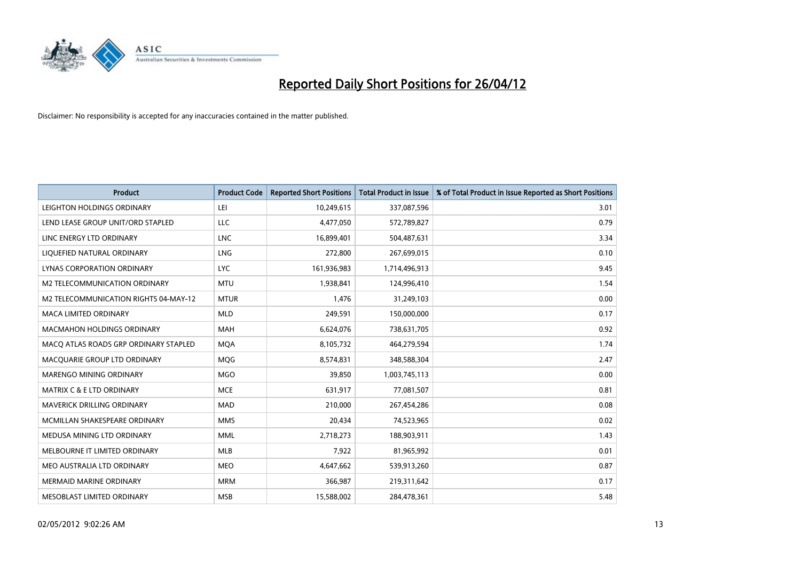

| <b>Product</b>                        | <b>Product Code</b> | <b>Reported Short Positions</b> | <b>Total Product in Issue</b> | % of Total Product in Issue Reported as Short Positions |
|---------------------------------------|---------------------|---------------------------------|-------------------------------|---------------------------------------------------------|
| LEIGHTON HOLDINGS ORDINARY            | LEI                 | 10,249,615                      | 337,087,596                   | 3.01                                                    |
| LEND LEASE GROUP UNIT/ORD STAPLED     | LLC                 | 4,477,050                       | 572,789,827                   | 0.79                                                    |
| LINC ENERGY LTD ORDINARY              | <b>LNC</b>          | 16,899,401                      | 504,487,631                   | 3.34                                                    |
| LIQUEFIED NATURAL ORDINARY            | <b>LNG</b>          | 272,800                         | 267,699,015                   | 0.10                                                    |
| LYNAS CORPORATION ORDINARY            | <b>LYC</b>          | 161,936,983                     | 1,714,496,913                 | 9.45                                                    |
| <b>M2 TELECOMMUNICATION ORDINARY</b>  | <b>MTU</b>          | 1,938,841                       | 124,996,410                   | 1.54                                                    |
| M2 TELECOMMUNICATION RIGHTS 04-MAY-12 | <b>MTUR</b>         | 1,476                           | 31,249,103                    | 0.00                                                    |
| <b>MACA LIMITED ORDINARY</b>          | <b>MLD</b>          | 249,591                         | 150,000,000                   | 0.17                                                    |
| <b>MACMAHON HOLDINGS ORDINARY</b>     | <b>MAH</b>          | 6,624,076                       | 738,631,705                   | 0.92                                                    |
| MACO ATLAS ROADS GRP ORDINARY STAPLED | <b>MOA</b>          | 8,105,732                       | 464,279,594                   | 1.74                                                    |
| MACQUARIE GROUP LTD ORDINARY          | <b>MOG</b>          | 8,574,831                       | 348,588,304                   | 2.47                                                    |
| MARENGO MINING ORDINARY               | <b>MGO</b>          | 39,850                          | 1,003,745,113                 | 0.00                                                    |
| <b>MATRIX C &amp; E LTD ORDINARY</b>  | <b>MCE</b>          | 631,917                         | 77,081,507                    | 0.81                                                    |
| <b>MAVERICK DRILLING ORDINARY</b>     | <b>MAD</b>          | 210,000                         | 267,454,286                   | 0.08                                                    |
| MCMILLAN SHAKESPEARE ORDINARY         | <b>MMS</b>          | 20,434                          | 74,523,965                    | 0.02                                                    |
| MEDUSA MINING LTD ORDINARY            | <b>MML</b>          | 2,718,273                       | 188,903,911                   | 1.43                                                    |
| MELBOURNE IT LIMITED ORDINARY         | MLB                 | 7,922                           | 81,965,992                    | 0.01                                                    |
| MEO AUSTRALIA LTD ORDINARY            | <b>MEO</b>          | 4,647,662                       | 539,913,260                   | 0.87                                                    |
| <b>MERMAID MARINE ORDINARY</b>        | <b>MRM</b>          | 366,987                         | 219,311,642                   | 0.17                                                    |
| MESOBLAST LIMITED ORDINARY            | <b>MSB</b>          | 15,588,002                      | 284,478,361                   | 5.48                                                    |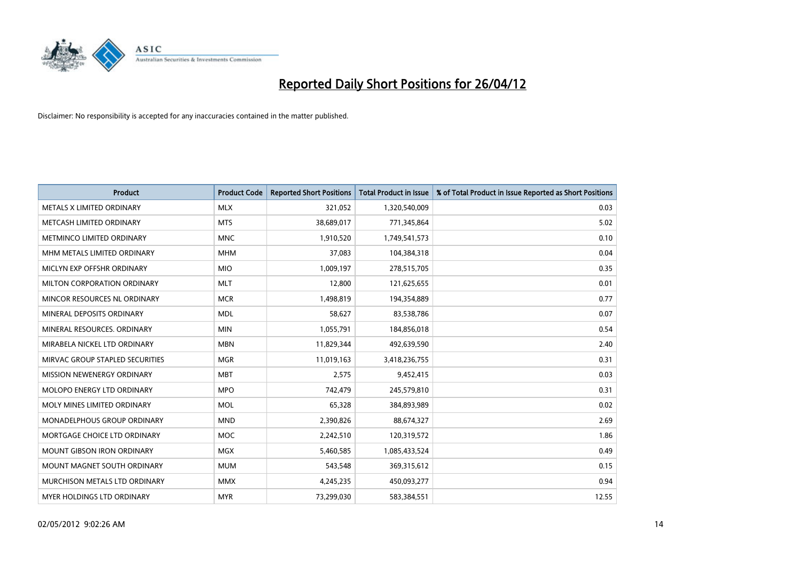

| <b>Product</b>                  | <b>Product Code</b> | <b>Reported Short Positions</b> | <b>Total Product in Issue</b> | % of Total Product in Issue Reported as Short Positions |
|---------------------------------|---------------------|---------------------------------|-------------------------------|---------------------------------------------------------|
| METALS X LIMITED ORDINARY       | <b>MLX</b>          | 321,052                         | 1,320,540,009                 | 0.03                                                    |
| METCASH LIMITED ORDINARY        | <b>MTS</b>          | 38,689,017                      | 771,345,864                   | 5.02                                                    |
| METMINCO LIMITED ORDINARY       | <b>MNC</b>          | 1,910,520                       | 1,749,541,573                 | 0.10                                                    |
| MHM METALS LIMITED ORDINARY     | <b>MHM</b>          | 37,083                          | 104,384,318                   | 0.04                                                    |
| MICLYN EXP OFFSHR ORDINARY      | <b>MIO</b>          | 1,009,197                       | 278,515,705                   | 0.35                                                    |
| MILTON CORPORATION ORDINARY     | <b>MLT</b>          | 12,800                          | 121,625,655                   | 0.01                                                    |
| MINCOR RESOURCES NL ORDINARY    | <b>MCR</b>          | 1,498,819                       | 194,354,889                   | 0.77                                                    |
| MINERAL DEPOSITS ORDINARY       | <b>MDL</b>          | 58,627                          | 83,538,786                    | 0.07                                                    |
| MINERAL RESOURCES, ORDINARY     | <b>MIN</b>          | 1,055,791                       | 184,856,018                   | 0.54                                                    |
| MIRABELA NICKEL LTD ORDINARY    | <b>MBN</b>          | 11,829,344                      | 492,639,590                   | 2.40                                                    |
| MIRVAC GROUP STAPLED SECURITIES | <b>MGR</b>          | 11,019,163                      | 3,418,236,755                 | 0.31                                                    |
| MISSION NEWENERGY ORDINARY      | <b>MBT</b>          | 2,575                           | 9,452,415                     | 0.03                                                    |
| MOLOPO ENERGY LTD ORDINARY      | <b>MPO</b>          | 742,479                         | 245,579,810                   | 0.31                                                    |
| MOLY MINES LIMITED ORDINARY     | <b>MOL</b>          | 65,328                          | 384,893,989                   | 0.02                                                    |
| MONADELPHOUS GROUP ORDINARY     | <b>MND</b>          | 2,390,826                       | 88,674,327                    | 2.69                                                    |
| MORTGAGE CHOICE LTD ORDINARY    | <b>MOC</b>          | 2,242,510                       | 120,319,572                   | 1.86                                                    |
| MOUNT GIBSON IRON ORDINARY      | <b>MGX</b>          | 5,460,585                       | 1,085,433,524                 | 0.49                                                    |
| MOUNT MAGNET SOUTH ORDINARY     | <b>MUM</b>          | 543,548                         | 369,315,612                   | 0.15                                                    |
| MURCHISON METALS LTD ORDINARY   | <b>MMX</b>          | 4,245,235                       | 450,093,277                   | 0.94                                                    |
| MYER HOLDINGS LTD ORDINARY      | <b>MYR</b>          | 73,299,030                      | 583,384,551                   | 12.55                                                   |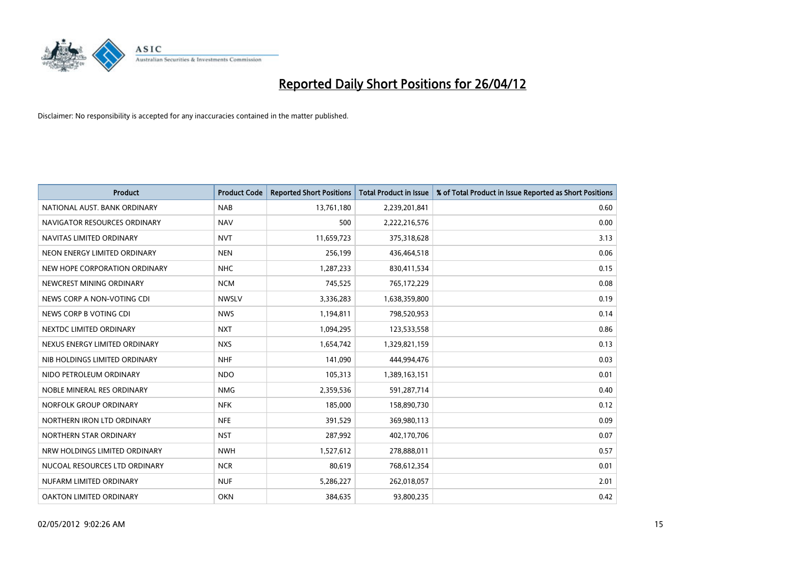

| <b>Product</b>                | <b>Product Code</b> | <b>Reported Short Positions</b> | <b>Total Product in Issue</b> | % of Total Product in Issue Reported as Short Positions |
|-------------------------------|---------------------|---------------------------------|-------------------------------|---------------------------------------------------------|
| NATIONAL AUST. BANK ORDINARY  | <b>NAB</b>          | 13,761,180                      | 2,239,201,841                 | 0.60                                                    |
| NAVIGATOR RESOURCES ORDINARY  | <b>NAV</b>          | 500                             | 2,222,216,576                 | 0.00                                                    |
| NAVITAS LIMITED ORDINARY      | <b>NVT</b>          | 11,659,723                      | 375,318,628                   | 3.13                                                    |
| NEON ENERGY LIMITED ORDINARY  | <b>NEN</b>          | 256,199                         | 436,464,518                   | 0.06                                                    |
| NEW HOPE CORPORATION ORDINARY | <b>NHC</b>          | 1,287,233                       | 830,411,534                   | 0.15                                                    |
| NEWCREST MINING ORDINARY      | <b>NCM</b>          | 745,525                         | 765,172,229                   | 0.08                                                    |
| NEWS CORP A NON-VOTING CDI    | <b>NWSLV</b>        | 3,336,283                       | 1,638,359,800                 | 0.19                                                    |
| NEWS CORP B VOTING CDI        | <b>NWS</b>          | 1,194,811                       | 798,520,953                   | 0.14                                                    |
| NEXTDC LIMITED ORDINARY       | <b>NXT</b>          | 1,094,295                       | 123,533,558                   | 0.86                                                    |
| NEXUS ENERGY LIMITED ORDINARY | <b>NXS</b>          | 1,654,742                       | 1,329,821,159                 | 0.13                                                    |
| NIB HOLDINGS LIMITED ORDINARY | <b>NHF</b>          | 141,090                         | 444,994,476                   | 0.03                                                    |
| NIDO PETROLEUM ORDINARY       | <b>NDO</b>          | 105,313                         | 1,389,163,151                 | 0.01                                                    |
| NOBLE MINERAL RES ORDINARY    | <b>NMG</b>          | 2,359,536                       | 591,287,714                   | 0.40                                                    |
| NORFOLK GROUP ORDINARY        | <b>NFK</b>          | 185,000                         | 158,890,730                   | 0.12                                                    |
| NORTHERN IRON LTD ORDINARY    | <b>NFE</b>          | 391,529                         | 369,980,113                   | 0.09                                                    |
| NORTHERN STAR ORDINARY        | <b>NST</b>          | 287,992                         | 402,170,706                   | 0.07                                                    |
| NRW HOLDINGS LIMITED ORDINARY | <b>NWH</b>          | 1,527,612                       | 278,888,011                   | 0.57                                                    |
| NUCOAL RESOURCES LTD ORDINARY | <b>NCR</b>          | 80,619                          | 768,612,354                   | 0.01                                                    |
| NUFARM LIMITED ORDINARY       | <b>NUF</b>          | 5,286,227                       | 262,018,057                   | 2.01                                                    |
| OAKTON LIMITED ORDINARY       | <b>OKN</b>          | 384,635                         | 93,800,235                    | 0.42                                                    |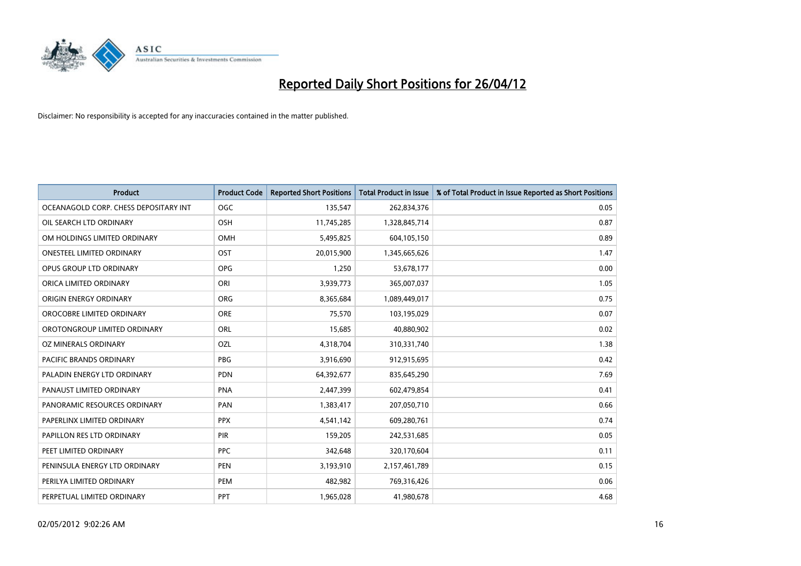

| <b>Product</b>                        | <b>Product Code</b> | <b>Reported Short Positions</b> | <b>Total Product in Issue</b> | % of Total Product in Issue Reported as Short Positions |
|---------------------------------------|---------------------|---------------------------------|-------------------------------|---------------------------------------------------------|
| OCEANAGOLD CORP. CHESS DEPOSITARY INT | <b>OGC</b>          | 135,547                         | 262,834,376                   | 0.05                                                    |
| OIL SEARCH LTD ORDINARY               | <b>OSH</b>          | 11,745,285                      | 1,328,845,714                 | 0.87                                                    |
| OM HOLDINGS LIMITED ORDINARY          | <b>OMH</b>          | 5,495,825                       | 604,105,150                   | 0.89                                                    |
| <b>ONESTEEL LIMITED ORDINARY</b>      | OST                 | 20,015,900                      | 1,345,665,626                 | 1.47                                                    |
| OPUS GROUP LTD ORDINARY               | <b>OPG</b>          | 1,250                           | 53,678,177                    | 0.00                                                    |
| ORICA LIMITED ORDINARY                | ORI                 | 3,939,773                       | 365,007,037                   | 1.05                                                    |
| ORIGIN ENERGY ORDINARY                | ORG                 | 8,365,684                       | 1,089,449,017                 | 0.75                                                    |
| OROCOBRE LIMITED ORDINARY             | <b>ORE</b>          | 75,570                          | 103,195,029                   | 0.07                                                    |
| OROTONGROUP LIMITED ORDINARY          | <b>ORL</b>          | 15,685                          | 40,880,902                    | 0.02                                                    |
| OZ MINERALS ORDINARY                  | OZL                 | 4,318,704                       | 310,331,740                   | 1.38                                                    |
| PACIFIC BRANDS ORDINARY               | <b>PBG</b>          | 3,916,690                       | 912,915,695                   | 0.42                                                    |
| PALADIN ENERGY LTD ORDINARY           | <b>PDN</b>          | 64,392,677                      | 835,645,290                   | 7.69                                                    |
| PANAUST LIMITED ORDINARY              | <b>PNA</b>          | 2,447,399                       | 602,479,854                   | 0.41                                                    |
| PANORAMIC RESOURCES ORDINARY          | PAN                 | 1,383,417                       | 207,050,710                   | 0.66                                                    |
| PAPERLINX LIMITED ORDINARY            | <b>PPX</b>          | 4,541,142                       | 609,280,761                   | 0.74                                                    |
| PAPILLON RES LTD ORDINARY             | <b>PIR</b>          | 159,205                         | 242,531,685                   | 0.05                                                    |
| PEET LIMITED ORDINARY                 | <b>PPC</b>          | 342,648                         | 320,170,604                   | 0.11                                                    |
| PENINSULA ENERGY LTD ORDINARY         | <b>PEN</b>          | 3,193,910                       | 2,157,461,789                 | 0.15                                                    |
| PERILYA LIMITED ORDINARY              | PEM                 | 482,982                         | 769,316,426                   | 0.06                                                    |
| PERPETUAL LIMITED ORDINARY            | PPT                 | 1,965,028                       | 41,980,678                    | 4.68                                                    |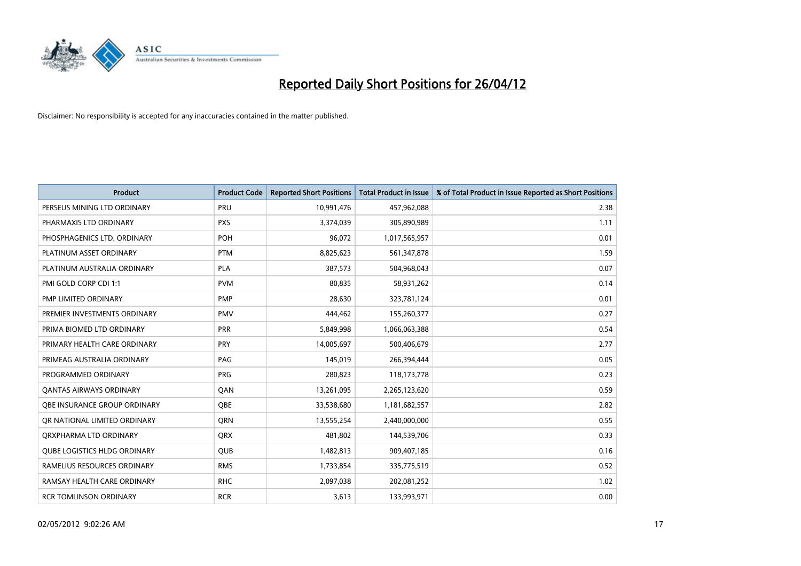

| <b>Product</b>                      | <b>Product Code</b> | <b>Reported Short Positions</b> | <b>Total Product in Issue</b> | % of Total Product in Issue Reported as Short Positions |
|-------------------------------------|---------------------|---------------------------------|-------------------------------|---------------------------------------------------------|
| PERSEUS MINING LTD ORDINARY         | PRU                 | 10,991,476                      | 457,962,088                   | 2.38                                                    |
| PHARMAXIS LTD ORDINARY              | <b>PXS</b>          | 3,374,039                       | 305,890,989                   | 1.11                                                    |
| PHOSPHAGENICS LTD. ORDINARY         | <b>POH</b>          | 96,072                          | 1,017,565,957                 | 0.01                                                    |
| PLATINUM ASSET ORDINARY             | <b>PTM</b>          | 8,825,623                       | 561,347,878                   | 1.59                                                    |
| PLATINUM AUSTRALIA ORDINARY         | <b>PLA</b>          | 387,573                         | 504,968,043                   | 0.07                                                    |
| PMI GOLD CORP CDI 1:1               | <b>PVM</b>          | 80,835                          | 58,931,262                    | 0.14                                                    |
| PMP LIMITED ORDINARY                | <b>PMP</b>          | 28,630                          | 323,781,124                   | 0.01                                                    |
| PREMIER INVESTMENTS ORDINARY        | <b>PMV</b>          | 444,462                         | 155,260,377                   | 0.27                                                    |
| PRIMA BIOMED LTD ORDINARY           | <b>PRR</b>          | 5,849,998                       | 1,066,063,388                 | 0.54                                                    |
| PRIMARY HEALTH CARE ORDINARY        | <b>PRY</b>          | 14,005,697                      | 500,406,679                   | 2.77                                                    |
| PRIMEAG AUSTRALIA ORDINARY          | PAG                 | 145,019                         | 266,394,444                   | 0.05                                                    |
| PROGRAMMED ORDINARY                 | <b>PRG</b>          | 280,823                         | 118,173,778                   | 0.23                                                    |
| <b>QANTAS AIRWAYS ORDINARY</b>      | QAN                 | 13,261,095                      | 2,265,123,620                 | 0.59                                                    |
| OBE INSURANCE GROUP ORDINARY        | QBE                 | 33,538,680                      | 1,181,682,557                 | 2.82                                                    |
| OR NATIONAL LIMITED ORDINARY        | <b>ORN</b>          | 13,555,254                      | 2,440,000,000                 | 0.55                                                    |
| ORXPHARMA LTD ORDINARY              | <b>QRX</b>          | 481,802                         | 144,539,706                   | 0.33                                                    |
| <b>QUBE LOGISTICS HLDG ORDINARY</b> | QUB                 | 1,482,813                       | 909,407,185                   | 0.16                                                    |
| RAMELIUS RESOURCES ORDINARY         | <b>RMS</b>          | 1,733,854                       | 335,775,519                   | 0.52                                                    |
| RAMSAY HEALTH CARE ORDINARY         | <b>RHC</b>          | 2,097,038                       | 202,081,252                   | 1.02                                                    |
| <b>RCR TOMLINSON ORDINARY</b>       | <b>RCR</b>          | 3,613                           | 133,993,971                   | 0.00                                                    |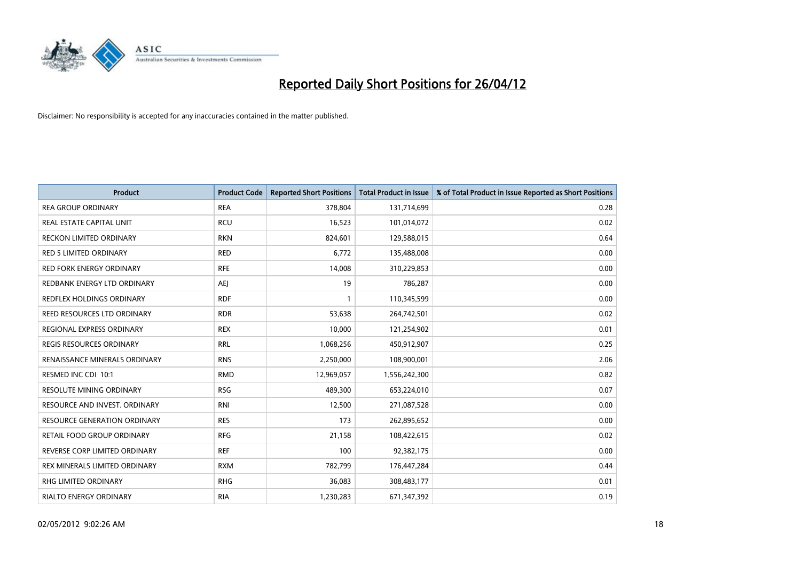

| <b>Product</b>                      | <b>Product Code</b> | <b>Reported Short Positions</b> | <b>Total Product in Issue</b> | % of Total Product in Issue Reported as Short Positions |
|-------------------------------------|---------------------|---------------------------------|-------------------------------|---------------------------------------------------------|
| <b>REA GROUP ORDINARY</b>           | <b>REA</b>          | 378,804                         | 131,714,699                   | 0.28                                                    |
| REAL ESTATE CAPITAL UNIT            | <b>RCU</b>          | 16,523                          | 101,014,072                   | 0.02                                                    |
| <b>RECKON LIMITED ORDINARY</b>      | <b>RKN</b>          | 824,601                         | 129,588,015                   | 0.64                                                    |
| <b>RED 5 LIMITED ORDINARY</b>       | <b>RED</b>          | 6,772                           | 135,488,008                   | 0.00                                                    |
| <b>RED FORK ENERGY ORDINARY</b>     | <b>RFE</b>          | 14,008                          | 310,229,853                   | 0.00                                                    |
| REDBANK ENERGY LTD ORDINARY         | <b>AEJ</b>          | 19                              | 786,287                       | 0.00                                                    |
| <b>REDFLEX HOLDINGS ORDINARY</b>    | <b>RDF</b>          | 1                               | 110,345,599                   | 0.00                                                    |
| REED RESOURCES LTD ORDINARY         | <b>RDR</b>          | 53,638                          | 264,742,501                   | 0.02                                                    |
| REGIONAL EXPRESS ORDINARY           | <b>REX</b>          | 10,000                          | 121,254,902                   | 0.01                                                    |
| <b>REGIS RESOURCES ORDINARY</b>     | <b>RRL</b>          | 1,068,256                       | 450,912,907                   | 0.25                                                    |
| RENAISSANCE MINERALS ORDINARY       | <b>RNS</b>          | 2,250,000                       | 108,900,001                   | 2.06                                                    |
| RESMED INC CDI 10:1                 | <b>RMD</b>          | 12,969,057                      | 1,556,242,300                 | 0.82                                                    |
| RESOLUTE MINING ORDINARY            | <b>RSG</b>          | 489,300                         | 653,224,010                   | 0.07                                                    |
| RESOURCE AND INVEST. ORDINARY       | <b>RNI</b>          | 12,500                          | 271,087,528                   | 0.00                                                    |
| <b>RESOURCE GENERATION ORDINARY</b> | <b>RES</b>          | 173                             | 262,895,652                   | 0.00                                                    |
| RETAIL FOOD GROUP ORDINARY          | <b>RFG</b>          | 21,158                          | 108,422,615                   | 0.02                                                    |
| REVERSE CORP LIMITED ORDINARY       | <b>REF</b>          | 100                             | 92,382,175                    | 0.00                                                    |
| REX MINERALS LIMITED ORDINARY       | <b>RXM</b>          | 782,799                         | 176,447,284                   | 0.44                                                    |
| <b>RHG LIMITED ORDINARY</b>         | <b>RHG</b>          | 36,083                          | 308,483,177                   | 0.01                                                    |
| <b>RIALTO ENERGY ORDINARY</b>       | <b>RIA</b>          | 1,230,283                       | 671,347,392                   | 0.19                                                    |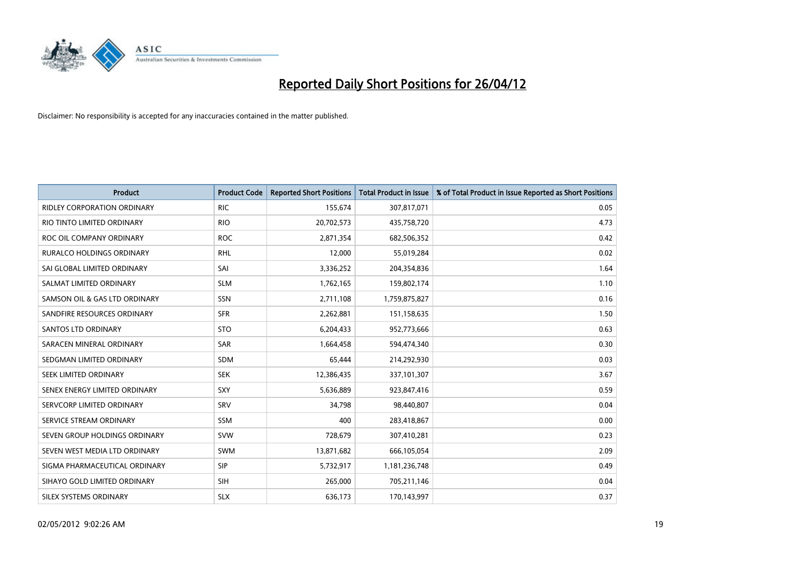

| <b>Product</b>                     | <b>Product Code</b> | <b>Reported Short Positions</b> | <b>Total Product in Issue</b> | % of Total Product in Issue Reported as Short Positions |
|------------------------------------|---------------------|---------------------------------|-------------------------------|---------------------------------------------------------|
| <b>RIDLEY CORPORATION ORDINARY</b> | <b>RIC</b>          | 155,674                         | 307,817,071                   | 0.05                                                    |
| RIO TINTO LIMITED ORDINARY         | <b>RIO</b>          | 20,702,573                      | 435,758,720                   | 4.73                                                    |
| ROC OIL COMPANY ORDINARY           | <b>ROC</b>          | 2,871,354                       | 682,506,352                   | 0.42                                                    |
| RURALCO HOLDINGS ORDINARY          | <b>RHL</b>          | 12,000                          | 55,019,284                    | 0.02                                                    |
| SAI GLOBAL LIMITED ORDINARY        | SAI                 | 3,336,252                       | 204,354,836                   | 1.64                                                    |
| SALMAT LIMITED ORDINARY            | <b>SLM</b>          | 1,762,165                       | 159,802,174                   | 1.10                                                    |
| SAMSON OIL & GAS LTD ORDINARY      | SSN                 | 2,711,108                       | 1,759,875,827                 | 0.16                                                    |
| SANDFIRE RESOURCES ORDINARY        | <b>SFR</b>          | 2,262,881                       | 151,158,635                   | 1.50                                                    |
| SANTOS LTD ORDINARY                | <b>STO</b>          | 6,204,433                       | 952,773,666                   | 0.63                                                    |
| SARACEN MINERAL ORDINARY           | SAR                 | 1,664,458                       | 594,474,340                   | 0.30                                                    |
| SEDGMAN LIMITED ORDINARY           | SDM                 | 65,444                          | 214,292,930                   | 0.03                                                    |
| <b>SEEK LIMITED ORDINARY</b>       | <b>SEK</b>          | 12,386,435                      | 337,101,307                   | 3.67                                                    |
| SENEX ENERGY LIMITED ORDINARY      | <b>SXY</b>          | 5,636,889                       | 923,847,416                   | 0.59                                                    |
| SERVCORP LIMITED ORDINARY          | SRV                 | 34,798                          | 98,440,807                    | 0.04                                                    |
| SERVICE STREAM ORDINARY            | <b>SSM</b>          | 400                             | 283,418,867                   | 0.00                                                    |
| SEVEN GROUP HOLDINGS ORDINARY      | <b>SVW</b>          | 728,679                         | 307,410,281                   | 0.23                                                    |
| SEVEN WEST MEDIA LTD ORDINARY      | SWM                 | 13,871,682                      | 666,105,054                   | 2.09                                                    |
| SIGMA PHARMACEUTICAL ORDINARY      | <b>SIP</b>          | 5,732,917                       | 1,181,236,748                 | 0.49                                                    |
| SIHAYO GOLD LIMITED ORDINARY       | <b>SIH</b>          | 265,000                         | 705,211,146                   | 0.04                                                    |
| <b>SILEX SYSTEMS ORDINARY</b>      | <b>SLX</b>          | 636,173                         | 170,143,997                   | 0.37                                                    |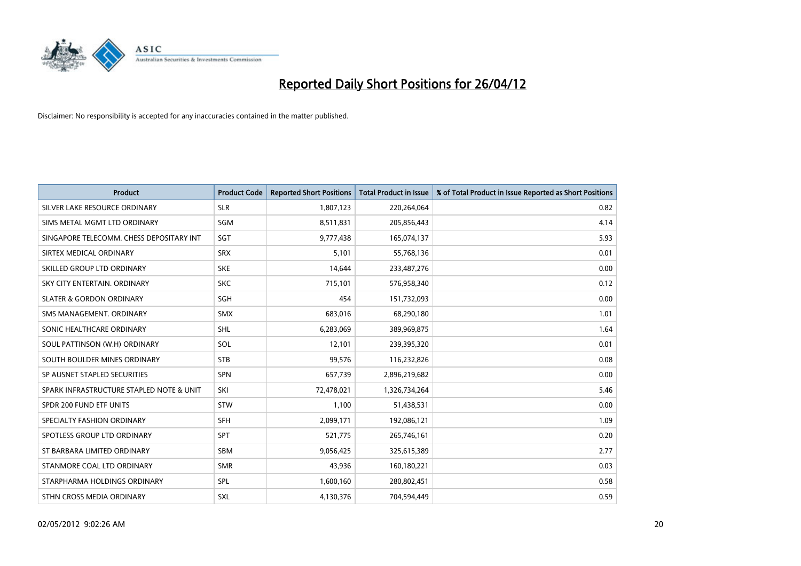

| <b>Product</b>                           | <b>Product Code</b> | <b>Reported Short Positions</b> | <b>Total Product in Issue</b> | % of Total Product in Issue Reported as Short Positions |
|------------------------------------------|---------------------|---------------------------------|-------------------------------|---------------------------------------------------------|
| SILVER LAKE RESOURCE ORDINARY            | <b>SLR</b>          | 1,807,123                       | 220,264,064                   | 0.82                                                    |
| SIMS METAL MGMT LTD ORDINARY             | <b>SGM</b>          | 8,511,831                       | 205,856,443                   | 4.14                                                    |
| SINGAPORE TELECOMM. CHESS DEPOSITARY INT | SGT                 | 9,777,438                       | 165,074,137                   | 5.93                                                    |
| SIRTEX MEDICAL ORDINARY                  | <b>SRX</b>          | 5,101                           | 55,768,136                    | 0.01                                                    |
| SKILLED GROUP LTD ORDINARY               | <b>SKE</b>          | 14,644                          | 233,487,276                   | 0.00                                                    |
| SKY CITY ENTERTAIN, ORDINARY             | <b>SKC</b>          | 715,101                         | 576,958,340                   | 0.12                                                    |
| <b>SLATER &amp; GORDON ORDINARY</b>      | <b>SGH</b>          | 454                             | 151,732,093                   | 0.00                                                    |
| SMS MANAGEMENT, ORDINARY                 | SMX                 | 683,016                         | 68,290,180                    | 1.01                                                    |
| SONIC HEALTHCARE ORDINARY                | <b>SHL</b>          | 6,283,069                       | 389,969,875                   | 1.64                                                    |
| SOUL PATTINSON (W.H) ORDINARY            | SOL                 | 12,101                          | 239,395,320                   | 0.01                                                    |
| SOUTH BOULDER MINES ORDINARY             | <b>STB</b>          | 99,576                          | 116,232,826                   | 0.08                                                    |
| SP AUSNET STAPLED SECURITIES             | <b>SPN</b>          | 657,739                         | 2,896,219,682                 | 0.00                                                    |
| SPARK INFRASTRUCTURE STAPLED NOTE & UNIT | SKI                 | 72,478,021                      | 1,326,734,264                 | 5.46                                                    |
| SPDR 200 FUND ETF UNITS                  | STW                 | 1,100                           | 51,438,531                    | 0.00                                                    |
| SPECIALTY FASHION ORDINARY               | <b>SFH</b>          | 2,099,171                       | 192,086,121                   | 1.09                                                    |
| SPOTLESS GROUP LTD ORDINARY              | <b>SPT</b>          | 521,775                         | 265,746,161                   | 0.20                                                    |
| ST BARBARA LIMITED ORDINARY              | SBM                 | 9,056,425                       | 325,615,389                   | 2.77                                                    |
| STANMORE COAL LTD ORDINARY               | <b>SMR</b>          | 43,936                          | 160,180,221                   | 0.03                                                    |
| STARPHARMA HOLDINGS ORDINARY             | <b>SPL</b>          | 1,600,160                       | 280,802,451                   | 0.58                                                    |
| STHN CROSS MEDIA ORDINARY                | SXL                 | 4,130,376                       | 704,594,449                   | 0.59                                                    |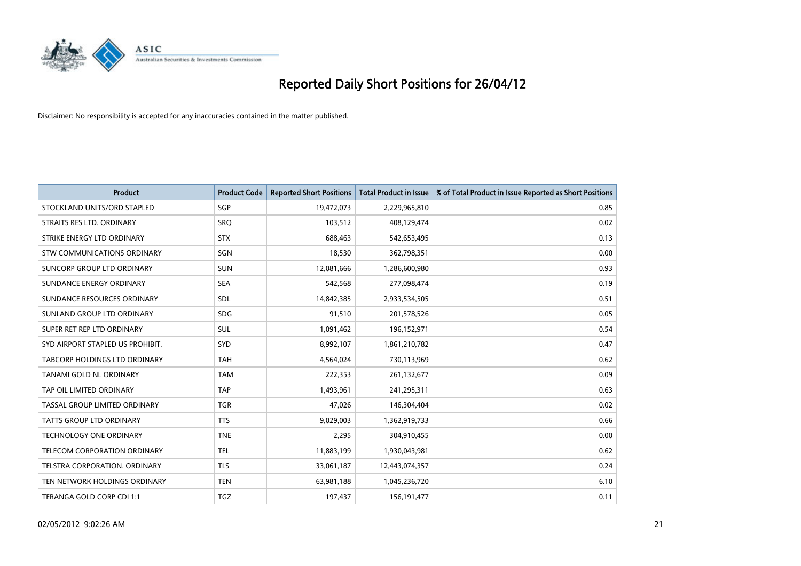

| <b>Product</b>                   | <b>Product Code</b> | <b>Reported Short Positions</b> | <b>Total Product in Issue</b> | % of Total Product in Issue Reported as Short Positions |
|----------------------------------|---------------------|---------------------------------|-------------------------------|---------------------------------------------------------|
| STOCKLAND UNITS/ORD STAPLED      | SGP                 | 19,472,073                      | 2,229,965,810                 | 0.85                                                    |
| STRAITS RES LTD. ORDINARY        | <b>SRQ</b>          | 103,512                         | 408,129,474                   | 0.02                                                    |
| STRIKE ENERGY LTD ORDINARY       | <b>STX</b>          | 688,463                         | 542,653,495                   | 0.13                                                    |
| STW COMMUNICATIONS ORDINARY      | SGN                 | 18,530                          | 362,798,351                   | 0.00                                                    |
| SUNCORP GROUP LTD ORDINARY       | <b>SUN</b>          | 12,081,666                      | 1,286,600,980                 | 0.93                                                    |
| SUNDANCE ENERGY ORDINARY         | <b>SEA</b>          | 542,568                         | 277,098,474                   | 0.19                                                    |
| SUNDANCE RESOURCES ORDINARY      | <b>SDL</b>          | 14,842,385                      | 2,933,534,505                 | 0.51                                                    |
| SUNLAND GROUP LTD ORDINARY       | <b>SDG</b>          | 91,510                          | 201,578,526                   | 0.05                                                    |
| SUPER RET REP LTD ORDINARY       | <b>SUL</b>          | 1,091,462                       | 196,152,971                   | 0.54                                                    |
| SYD AIRPORT STAPLED US PROHIBIT. | SYD                 | 8,992,107                       | 1,861,210,782                 | 0.47                                                    |
| TABCORP HOLDINGS LTD ORDINARY    | <b>TAH</b>          | 4,564,024                       | 730,113,969                   | 0.62                                                    |
| TANAMI GOLD NL ORDINARY          | <b>TAM</b>          | 222,353                         | 261,132,677                   | 0.09                                                    |
| TAP OIL LIMITED ORDINARY         | <b>TAP</b>          | 1,493,961                       | 241,295,311                   | 0.63                                                    |
| TASSAL GROUP LIMITED ORDINARY    | <b>TGR</b>          | 47,026                          | 146,304,404                   | 0.02                                                    |
| <b>TATTS GROUP LTD ORDINARY</b>  | <b>TTS</b>          | 9,029,003                       | 1,362,919,733                 | 0.66                                                    |
| TECHNOLOGY ONE ORDINARY          | <b>TNE</b>          | 2,295                           | 304,910,455                   | 0.00                                                    |
| TELECOM CORPORATION ORDINARY     | <b>TEL</b>          | 11,883,199                      | 1,930,043,981                 | 0.62                                                    |
| TELSTRA CORPORATION. ORDINARY    | <b>TLS</b>          | 33,061,187                      | 12,443,074,357                | 0.24                                                    |
| TEN NETWORK HOLDINGS ORDINARY    | <b>TEN</b>          | 63,981,188                      | 1,045,236,720                 | 6.10                                                    |
| TERANGA GOLD CORP CDI 1:1        | TGZ                 | 197,437                         | 156, 191, 477                 | 0.11                                                    |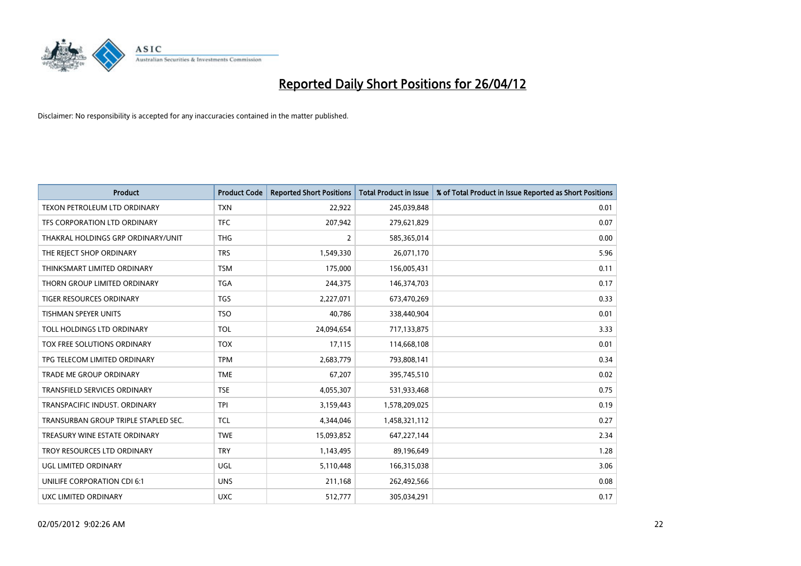

| <b>Product</b>                       | <b>Product Code</b> | <b>Reported Short Positions</b> | <b>Total Product in Issue</b> | % of Total Product in Issue Reported as Short Positions |
|--------------------------------------|---------------------|---------------------------------|-------------------------------|---------------------------------------------------------|
| <b>TEXON PETROLEUM LTD ORDINARY</b>  | <b>TXN</b>          | 22,922                          | 245,039,848                   | 0.01                                                    |
| TFS CORPORATION LTD ORDINARY         | <b>TFC</b>          | 207,942                         | 279,621,829                   | 0.07                                                    |
| THAKRAL HOLDINGS GRP ORDINARY/UNIT   | <b>THG</b>          | $\overline{2}$                  | 585,365,014                   | 0.00                                                    |
| THE REJECT SHOP ORDINARY             | <b>TRS</b>          | 1,549,330                       | 26,071,170                    | 5.96                                                    |
| THINKSMART LIMITED ORDINARY          | <b>TSM</b>          | 175,000                         | 156,005,431                   | 0.11                                                    |
| THORN GROUP LIMITED ORDINARY         | <b>TGA</b>          | 244,375                         | 146,374,703                   | 0.17                                                    |
| TIGER RESOURCES ORDINARY             | <b>TGS</b>          | 2,227,071                       | 673,470,269                   | 0.33                                                    |
| TISHMAN SPEYER UNITS                 | <b>TSO</b>          | 40,786                          | 338,440,904                   | 0.01                                                    |
| TOLL HOLDINGS LTD ORDINARY           | <b>TOL</b>          | 24,094,654                      | 717,133,875                   | 3.33                                                    |
| TOX FREE SOLUTIONS ORDINARY          | <b>TOX</b>          | 17,115                          | 114,668,108                   | 0.01                                                    |
| TPG TELECOM LIMITED ORDINARY         | <b>TPM</b>          | 2,683,779                       | 793,808,141                   | 0.34                                                    |
| <b>TRADE ME GROUP ORDINARY</b>       | <b>TME</b>          | 67,207                          | 395,745,510                   | 0.02                                                    |
| <b>TRANSFIELD SERVICES ORDINARY</b>  | <b>TSE</b>          | 4,055,307                       | 531,933,468                   | 0.75                                                    |
| TRANSPACIFIC INDUST, ORDINARY        | <b>TPI</b>          | 3,159,443                       | 1,578,209,025                 | 0.19                                                    |
| TRANSURBAN GROUP TRIPLE STAPLED SEC. | <b>TCL</b>          | 4,344,046                       | 1,458,321,112                 | 0.27                                                    |
| TREASURY WINE ESTATE ORDINARY        | <b>TWE</b>          | 15,093,852                      | 647,227,144                   | 2.34                                                    |
| TROY RESOURCES LTD ORDINARY          | <b>TRY</b>          | 1,143,495                       | 89,196,649                    | 1.28                                                    |
| UGL LIMITED ORDINARY                 | UGL                 | 5,110,448                       | 166,315,038                   | 3.06                                                    |
| UNILIFE CORPORATION CDI 6:1          | <b>UNS</b>          | 211,168                         | 262,492,566                   | 0.08                                                    |
| <b>UXC LIMITED ORDINARY</b>          | <b>UXC</b>          | 512,777                         | 305,034,291                   | 0.17                                                    |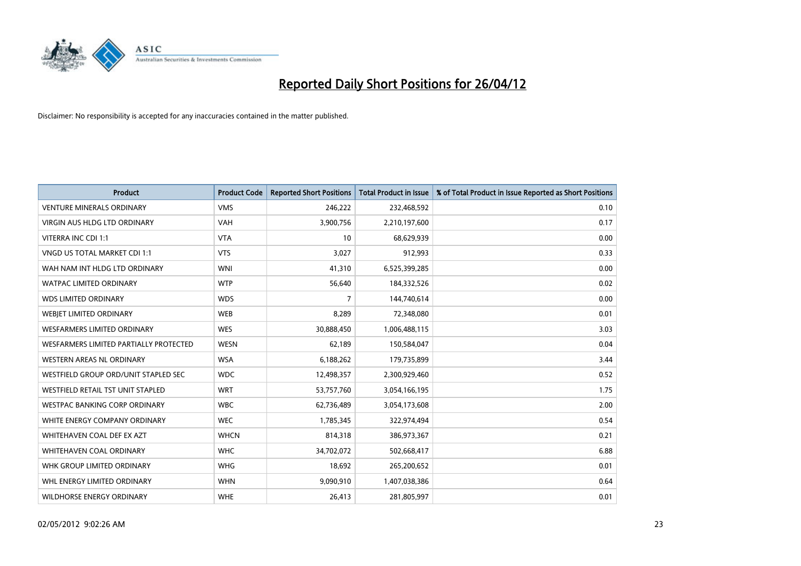

| <b>Product</b>                           | <b>Product Code</b> | <b>Reported Short Positions</b> | <b>Total Product in Issue</b> | % of Total Product in Issue Reported as Short Positions |
|------------------------------------------|---------------------|---------------------------------|-------------------------------|---------------------------------------------------------|
| <b>VENTURE MINERALS ORDINARY</b>         | <b>VMS</b>          | 246,222                         | 232,468,592                   | 0.10                                                    |
| VIRGIN AUS HLDG LTD ORDINARY             | <b>VAH</b>          | 3,900,756                       | 2,210,197,600                 | 0.17                                                    |
| VITERRA INC CDI 1:1                      | <b>VTA</b>          | 10                              | 68,629,939                    | 0.00                                                    |
| VNGD US TOTAL MARKET CDI 1:1             | <b>VTS</b>          | 3,027                           | 912,993                       | 0.33                                                    |
| WAH NAM INT HLDG LTD ORDINARY            | <b>WNI</b>          | 41,310                          | 6,525,399,285                 | 0.00                                                    |
| <b>WATPAC LIMITED ORDINARY</b>           | <b>WTP</b>          | 56,640                          | 184,332,526                   | 0.02                                                    |
| <b>WDS LIMITED ORDINARY</b>              | <b>WDS</b>          | 7                               | 144,740,614                   | 0.00                                                    |
| WEBIET LIMITED ORDINARY                  | <b>WEB</b>          | 8,289                           | 72,348,080                    | 0.01                                                    |
| WESFARMERS LIMITED ORDINARY              | <b>WES</b>          | 30,888,450                      | 1,006,488,115                 | 3.03                                                    |
| WESFARMERS LIMITED PARTIALLY PROTECTED   | <b>WESN</b>         | 62,189                          | 150,584,047                   | 0.04                                                    |
| WESTERN AREAS NL ORDINARY                | <b>WSA</b>          | 6,188,262                       | 179,735,899                   | 3.44                                                    |
| WESTFIELD GROUP ORD/UNIT STAPLED SEC     | <b>WDC</b>          | 12,498,357                      | 2,300,929,460                 | 0.52                                                    |
| <b>WESTFIELD RETAIL TST UNIT STAPLED</b> | <b>WRT</b>          | 53,757,760                      | 3,054,166,195                 | 1.75                                                    |
| <b>WESTPAC BANKING CORP ORDINARY</b>     | <b>WBC</b>          | 62,736,489                      | 3,054,173,608                 | 2.00                                                    |
| WHITE ENERGY COMPANY ORDINARY            | <b>WEC</b>          | 1,785,345                       | 322,974,494                   | 0.54                                                    |
| WHITEHAVEN COAL DEF EX AZT               | <b>WHCN</b>         | 814,318                         | 386,973,367                   | 0.21                                                    |
| WHITEHAVEN COAL ORDINARY                 | <b>WHC</b>          | 34,702,072                      | 502,668,417                   | 6.88                                                    |
| WHK GROUP LIMITED ORDINARY               | <b>WHG</b>          | 18,692                          | 265,200,652                   | 0.01                                                    |
| WHL ENERGY LIMITED ORDINARY              | <b>WHN</b>          | 9,090,910                       | 1,407,038,386                 | 0.64                                                    |
| WILDHORSE ENERGY ORDINARY                | <b>WHE</b>          | 26,413                          | 281,805,997                   | 0.01                                                    |